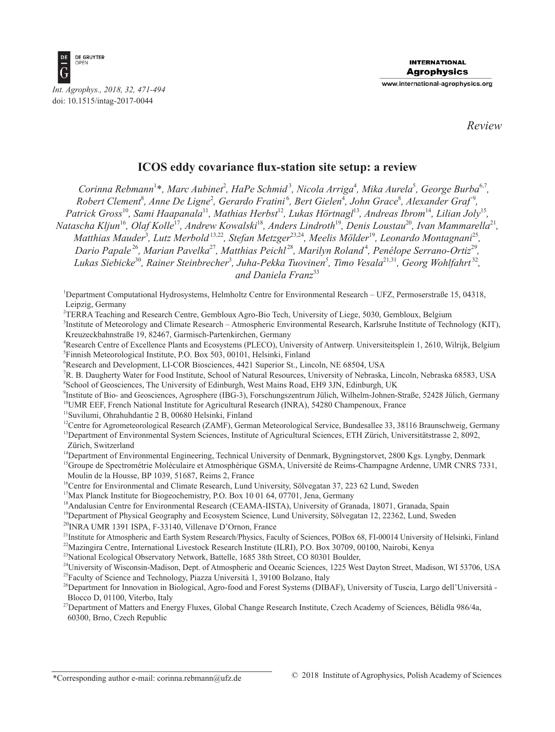

*Review*

# **ICOS eddy covariance flux-station site setup: a review**

Corinna Rebmann<sup>1\*</sup>, Marc Aubinet<sup>2</sup>, HaPe Schmid<sup>3</sup>, Nicola Arriga<sup>4</sup>, Mika Aurela<sup>5</sup>, George Burba<sup>6,7</sup>, Robert Clement<sup>8</sup>, Anne De Ligne<sup>2</sup>, Gerardo Fratini<sup>6</sup>, Bert Gielen<sup>4</sup>, John Grace<sup>8</sup>, Alexander Graf<sup>9</sup>, *Patrick Gross*<sup>10</sup>*, Sami Haapanala*<sup>11</sup>*, Mathias Herbst*<sup>12</sup>*, Lukas Hörtnagl*<sup>13</sup>*, Andreas Ibrom*<sup>14</sup>*, Lilian Joly*<sup>15</sup>*, Natascha Kljun*<sup>16</sup>*, Olaf Kolle*<sup>17</sup>*, Andrew Kowalski*<sup>18</sup>*, Anders Lindroth*<sup>19</sup>*, Denis Loustau*<sup>20</sup>*, Ivan Mammarella*<sup>21</sup>*, Matthias Mauder*<sup>3</sup> *, Lutz Merbold*13,22*, Stefan Metzger*23,24*, Meelis Mölder*<sup>19</sup>*, Leonardo Montagnani*<sup>25</sup>*, Dario Papale* <sup>26</sup>*, Marian Pavelka*<sup>27</sup>*, Matthias Peichl* <sup>28</sup>*, Marilyn Roland*<sup>4</sup> *, Penélope Serrano-Ortiz*<sup>29</sup>*, Lukas Siebicke*<sup>30</sup>*, Rainer Steinbrecher*<sup>3</sup> *, Juha-Pekka Tuovinen5 , Timo Vesala*21,31*, Georg Wohlfahrt* <sup>32</sup>*, and Daniela Franz*<sup>33</sup>

1 Department Computational Hydrosystems, Helmholtz Centre for Environmental Research – UFZ, Permoserstraße 15, 04318, Leipzig, Germany

2 TERRA Teaching and Research Centre, Gembloux Agro-Bio Tech, University of Liege, 5030, Gembloux, Belgium

3 Institute of Meteorology and Climate Research – Atmospheric Environmental Research, Karlsruhe Institute of Technology (KIT), Kreuzeckbahnstraße 19, 82467, Garmisch-Partenkirchen, Germany

4 Research Centre of Excellence Plants and Ecosystems (PLECO), University of Antwerp. Universiteitsplein 1, 2610, Wilrijk, Belgium 5 Finnish Meteorological Institute, P.O. Box 503, 00101, Helsinki, Finland

6 Research and Development, LI-COR Biosciences, 4421 Superior St., Lincoln, NE 68504, USA

7 R. B. Daugherty Water for Food Institute, School of Natural Resources, University of Nebraska, Lincoln, Nebraska 68583, USA 8 School of Geosciences, The University of Edinburgh, West Mains Road, EH9 3JN, Edinburgh, UK

9 Institute of Bio- and Geosciences, Agrosphere (IBG-3), Forschungszentrum Jülich, Wilhelm-Johnen-Straße, 52428 Jülich, Germany <sup>10</sup>UMR EEF, French National Institute for Agricultural Research (INRA), 54280 Champenoux, France

<sup>11</sup>Suvilumi, Ohrahuhdantie 2 B, 00680 Helsinki, Finland

<sup>12</sup>Centre for Agrometeorological Research (ZAMF), German Meteorological Service, Bundesallee 33, 38116 Braunschweig, Germany

<sup>13</sup>Department of Environmental System Sciences, Institute of Agricultural Sciences, ETH Zürich, Universitätstrasse 2, 8092, Zürich, Switzerland

<sup>14</sup>Department of Environmental Engineering, Technical University of Denmark, Bygningstorvet, 2800 Kgs. Lyngby, Denmark

<sup>15</sup>Groupe de Spectrométrie Moléculaire et Atmosphérique GSMA, Université de Reims-Champagne Ardenne, UMR CNRS 7331, Moulin de la Housse, BP 1039, 51687, Reims 2, France

<sup>16</sup>Centre for Environmental and Climate Research, Lund University, Sölvegatan 37, 223 62 Lund, Sweden

<sup>17</sup>Max Planck Institute for Biogeochemistry, P.O. Box 10 01 64, 07701, Jena, Germany

<sup>18</sup>Andalusian Centre for Environmental Research (CEAMA-IISTA), University of Granada, 18071, Granada, Spain

<sup>19</sup>Department of Physical Geography and Ecosystem Science, Lund University, Sölvegatan 12, 22362, Lund, Sweden

<sup>20</sup>INRA UMR 1391 ISPA, F-33140, Villenave D'Ornon, France

<sup>21</sup>Institute for Atmospheric and Earth System Research/Physics, Faculty of Sciences, POBox 68, FI-00014 University of Helsinki, Finland

22Mazingira Centre, International Livestock Research Institute (ILRI), P.O. Box 30709, 00100, Nairobi, Kenya

<sup>23</sup>National Ecological Observatory Network, Battelle, 1685 38th Street, CO 80301 Boulder,

<sup>24</sup>University of Wisconsin-Madison, Dept. of Atmospheric and Oceanic Sciences, 1225 West Dayton Street, Madison, WI 53706, USA <sup>25</sup>Faculty of Science and Technology, Piazza Università 1, 39100 Bolzano, Italy

<sup>26</sup>Department for Innovation in Biological, Agro-food and Forest Systems (DIBAF), University of Tuscia, Largo dell'Università -Blocco D, 01100, Viterbo, Italy

<sup>27</sup>Department of Matters and Energy Fluxes, Global Change Research Institute, Czech Academy of Sciences, Bělidla 986/4a, 60300, Brno, Czech Republic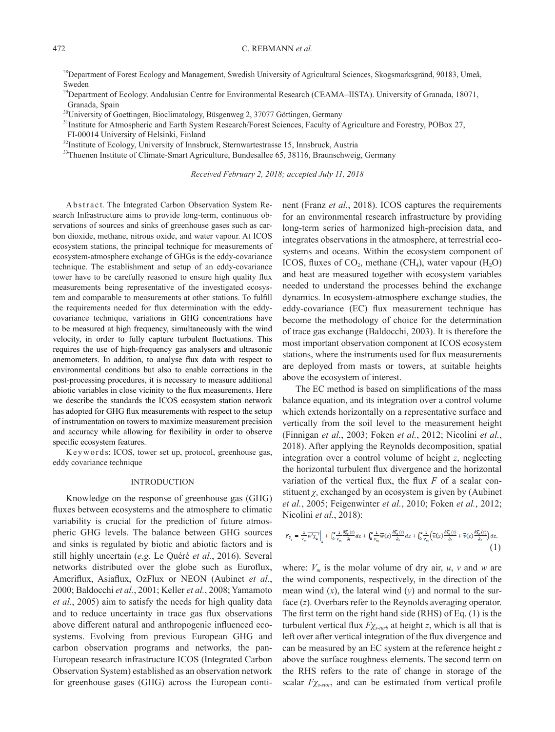<sup>28</sup>Department of Forest Ecology and Management, Swedish University of Agricultural Sciences, Skogsmarksgränd, 90183, Umeå, Sweden

<sup>29</sup>Department of Ecology. Andalusian Centre for Environmental Research (CEAMA–IISTA). University of Granada, 18071, Granada, Spain

<sup>30</sup>University of Goettingen, Bioclimatology, Büsgenweg 2, 37077 Göttingen, Germany

<sup>31</sup>Institute for Atmospheric and Earth System Research/Forest Sciences, Faculty of Agriculture and Forestry, POBox 27, FI-00014 University of Helsinki, Finland

<sup>32</sup>Institute of Ecology, University of Innsbruck, Sternwartestrasse 15, Innsbruck, Austria

<sup>33</sup>Thuenen Institute of Climate-Smart Agriculture, Bundesallee 65, 38116, Braunschweig, Germany

*Received February 2, 2018; accepted July 11, 2018*

Abstract. The Integrated Carbon Observation System Research Infrastructure aims to provide long-term, continuous observations of sources and sinks of greenhouse gases such as carbon dioxide, methane, nitrous oxide, and water vapour. At ICOS ecosystem stations, the principal technique for measurements of ecosystem-atmosphere exchange of GHGs is the eddy-covariance technique. The establishment and setup of an eddy-covariance tower have to be carefully reasoned to ensure high quality flux measurements being representative of the investigated ecosystem and comparable to measurements at other stations. To fulfill the requirements needed for flux determination with the eddycovariance technique, variations in GHG concentrations have to be measured at high frequency, simultaneously with the wind velocity, in order to fully capture turbulent fluctuations. This requires the use of high-frequency gas analysers and ultrasonic anemometers. In addition, to analyse flux data with respect to environmental conditions but also to enable corrections in the post-processing procedures, it is necessary to measure additional abiotic variables in close vicinity to the flux measurements. Here we describe the standards the ICOS ecosystem station network has adopted for GHG flux measurements with respect to the setup of instrumentation on towers to maximize measurement precision and accuracy while allowing for flexibility in order to observe specific ecosystem features.

Keywords: ICOS, tower set up, protocol, greenhouse gas, eddy covariance technique

#### INTRODUCTION

Knowledge on the response of greenhouse gas (GHG) fluxes between ecosystems and the atmosphere to climatic variability is crucial for the prediction of future atmospheric GHG levels. The balance between GHG sources and sinks is regulated by biotic and abiotic factors and is still highly uncertain (*e.g.* Le Quéré *et al.*, 2016). Several networks distributed over the globe such as Euroflux, Ameriflux, Asiaflux, OzFlux or NEON (Aubinet *et al.*, 2000; Baldocchi *et al.*, 2001; Keller *et al.*, 2008; Yamamoto *et al.*, 2005) aim to satisfy the needs for high quality data and to reduce uncertainty in trace gas flux observations above different natural and anthropogenic influenced ecosystems. Evolving from previous European GHG and carbon observation programs and networks, the pan-European research infrastructure ICOS (Integrated Carbon Observation System) established as an observation network for greenhouse gases (GHG) across the European continent (Franz *et al.*, 2018). ICOS captures the requirements for an environmental research infrastructure by providing long-term series of harmonized high-precision data, and integrates observations in the atmosphere, at terrestrial ecosystems and oceans. Within the ecosystem component of ICOS, fluxes of  $CO<sub>2</sub>$ , methane (CH<sub>4</sub>), water vapour (H<sub>2</sub>O) and heat are measured together with ecosystem variables needed to understand the processes behind the exchange dynamics. In ecosystem-atmosphere exchange studies, the eddy-covariance (EC) flux measurement technique has become the methodology of choice for the determination of trace gas exchange (Baldocchi, 2003). It is therefore the most important observation component at ICOS ecosystem stations, where the instruments used for flux measurements are deployed from masts or towers, at suitable heights above the ecosystem of interest.

The EC method is based on simplifications of the mass balance equation, and its integration over a control volume which extends horizontally on a representative surface and vertically from the soil level to the measurement height (Finnigan *et al.*, 2003; Foken *et al.*, 2012; Nicolini *et al.*, 2018). After applying the Reynolds decomposition, spatial integration over a control volume of height *z*, neglecting the horizontal turbulent flux divergence and the horizontal variation of the vertical flux, the flux *F* of a scalar constituent  $\chi$ <sup>*s*</sup> exchanged by an ecosystem is given by (Aubinet *et al.*, 2005; Feigenwinter *et al.*, 2010; Foken *et al.*, 2012; Nicolini *et al.*, 2018):

$$
F_{\chi_{z}} = \frac{1}{v_{m}} \overline{w' \chi_{z}'} \Big|_{z} + \int_{0}^{z} \frac{1}{v_{m}} \frac{\partial \overline{\chi_{z}}(z)}{\partial t} dz + \int_{0}^{z} \frac{1}{v_{m}} \overline{w}(z) \frac{\partial \overline{\chi_{z}}(z)}{\partial z} dz + \int_{0}^{z} \frac{1}{v_{m}} \left( \overline{u}(z) \frac{\partial \overline{\chi_{z}}(z)}{\partial x} + \overline{v}(z) \frac{\partial \overline{\chi_{z}}(z)}{\partial y} \right) dz, \tag{1}
$$

where:  $V_m$  is the molar volume of dry air,  $u$ ,  $v$  and  $w$  are the wind components, respectively, in the direction of the mean wind  $(x)$ , the lateral wind  $(y)$  and normal to the surface (*z*). Overbars refer to the Reynolds averaging operator. The first term on the right hand side (RHS) of Eq. (1) is the turbulent vertical flux *Fχs-turb* at height *z*, which is all that is left over after vertical integration of the flux divergence and can be measured by an EC system at the reference height *z* above the surface roughness elements. The second term on the RHS refers to the rate of change in storage of the scalar *Fχs-stor*, and can be estimated from vertical profile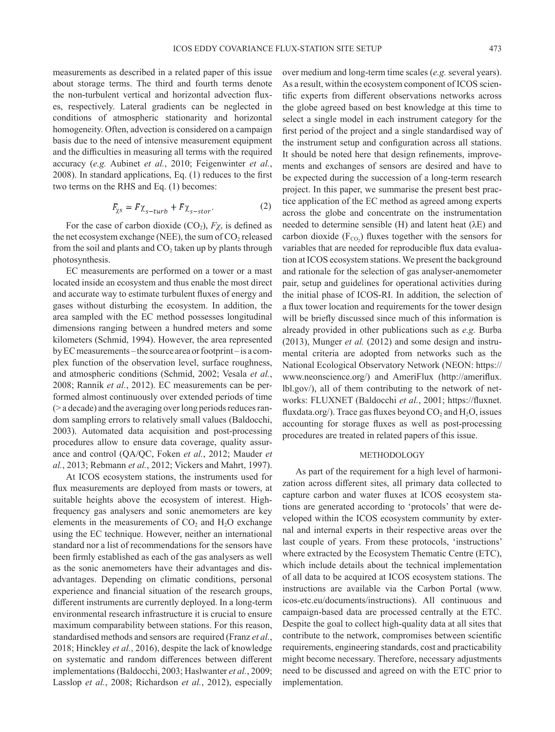measurements as described in a related paper of this issue about storage terms. The third and fourth terms denote the non-turbulent vertical and horizontal advection fluxes, respectively. Lateral gradients can be neglected in conditions of atmospheric stationarity and horizontal homogeneity. Often, advection is considered on a campaign basis due to the need of intensive measurement equipment and the difficulties in measuring all terms with the required accuracy (*e.g.* Aubinet *et al.*, 2010; Feigenwinter *et al.*, 2008). In standard applications, Eq. (1) reduces to the first two terms on the RHS and Eq. (1) becomes:

$$
F_{\chi s} = F \chi_{s - turb} + F \chi_{s - stor}.
$$
 (2)

For the case of carbon dioxide  $(CO_2)$ ,  $F\chi_s$  is defined as the net ecosystem exchange (NEE), the sum of  $CO<sub>2</sub>$  released from the soil and plants and  $CO<sub>2</sub>$  taken up by plants through photosynthesis.

EC measurements are performed on a tower or a mast located inside an ecosystem and thus enable the most direct and accurate way to estimate turbulent fluxes of energy and gases without disturbing the ecosystem. In addition, the area sampled with the EC method possesses longitudinal dimensions ranging between a hundred meters and some kilometers (Schmid, 1994). However, the area represented by EC measurements – the source area or footprint – is a complex function of the observation level, surface roughness, and atmospheric conditions (Schmid, 2002; Vesala *et al.*, 2008; Rannik *et al.*, 2012). EC measurements can be performed almost continuously over extended periods of time (> a decade) and the averaging over long periods reduces random sampling errors to relatively small values (Baldocchi, 2003). Automated data acquisition and post-processing procedures allow to ensure data coverage, quality assurance and control (QA/QC, Foken *et al.*, 2012; Mauder *et al.*, 2013; Rebmann *et al.*, 2012; Vickers and Mahrt, 1997).

At ICOS ecosystem stations, the instruments used for flux measurements are deployed from masts or towers, at suitable heights above the ecosystem of interest. Highfrequency gas analysers and sonic anemometers are key elements in the measurements of  $CO<sub>2</sub>$  and  $H<sub>2</sub>O$  exchange using the EC technique. However, neither an international standard nor a list of recommendations for the sensors have been firmly established as each of the gas analysers as well as the sonic anemometers have their advantages and disadvantages. Depending on climatic conditions, personal experience and financial situation of the research groups, different instruments are currently deployed. In a long-term environmental research infrastructure it is crucial to ensure maximum comparability between stations. For this reason, standardised methods and sensors are required (Franz *et al.*, 2018; Hinckley *et al.*, 2016), despite the lack of knowledge on systematic and random differences between different implementations (Baldocchi, 2003; Haslwanter *et al.*, 2009; Lasslop *et al.*, 2008; Richardson *et al.*, 2012), especially

over medium and long-term time scales (*e.g.* several years). As a result, within the ecosystem component of ICOS scientific experts from different observations networks across the globe agreed based on best knowledge at this time to select a single model in each instrument category for the first period of the project and a single standardised way of the instrument setup and configuration across all stations. It should be noted here that design refinements, improvements and exchanges of sensors are desired and have to be expected during the succession of a long-term research project. In this paper, we summarise the present best practice application of the EC method as agreed among experts across the globe and concentrate on the instrumentation needed to determine sensible (H) and latent heat (λE) and carbon dioxide ( $F_{CO_2}$ ) fluxes together with the sensors for variables that are needed for reproducible flux data evaluation at ICOS ecosystem stations. We present the background and rationale for the selection of gas analyser-anemometer pair, setup and guidelines for operational activities during the initial phase of ICOS-RI. In addition, the selection of a flux tower location and requirements for the tower design will be briefly discussed since much of this information is already provided in other publications such as *e.g.* Burba (2013), Munger *et al.* (2012) and some design and instrumental criteria are adopted from networks such as the National Ecological Observatory Network (NEON: https:// www.neonscience.org/) and AmeriFlux (http://ameriflux. lbl.gov/), all of them contributing to the network of networks: FLUXNET (Baldocchi *et al.*, 2001; https://fluxnet. fluxdata.org/). Trace gas fluxes beyond  $CO_2$  and  $H_2O$ , issues accounting for storage fluxes as well as post-processing procedures are treated in related papers of this issue.

#### METHODOLOGY

As part of the requirement for a high level of harmonization across different sites, all primary data collected to capture carbon and water fluxes at ICOS ecosystem stations are generated according to 'protocols' that were developed within the ICOS ecosystem community by external and internal experts in their respective areas over the last couple of years. From these protocols, 'instructions' where extracted by the Ecosystem Thematic Centre (ETC), which include details about the technical implementation of all data to be acquired at ICOS ecosystem stations. The instructions are available via the Carbon Portal (www. icos-etc.eu/documents/instructions). All continuous and campaign-based data are processed centrally at the ETC. Despite the goal to collect high-quality data at all sites that contribute to the network, compromises between scientific requirements, engineering standards, cost and practicability might become necessary. Therefore, necessary adjustments need to be discussed and agreed on with the ETC prior to implementation.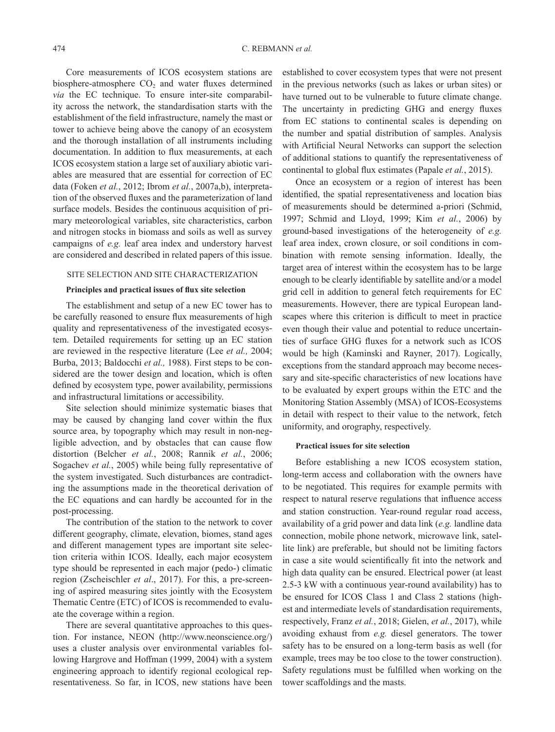Core measurements of ICOS ecosystem stations are biosphere-atmosphere  $CO<sub>2</sub>$  and water fluxes determined *via* the EC technique. To ensure inter-site comparability across the network, the standardisation starts with the establishment of the field infrastructure, namely the mast or tower to achieve being above the canopy of an ecosystem and the thorough installation of all instruments including documentation. In addition to flux measurements, at each ICOS ecosystem station a large set of auxiliary abiotic variables are measured that are essential for correction of EC data (Foken *et al.*, 2012; Ibrom *et al.*, 2007a,b), interpretation of the observed fluxes and the parameterization of land surface models. Besides the continuous acquisition of primary meteorological variables, site characteristics, carbon and nitrogen stocks in biomass and soils as well as survey campaigns of *e.g.* leaf area index and understory harvest are considered and described in related papers of this issue.

#### SITE SELECTION AND SITE CHARACTERIZATION

## **Principles and practical issues of flux site selection**

The establishment and setup of a new EC tower has to be carefully reasoned to ensure flux measurements of high quality and representativeness of the investigated ecosystem. Detailed requirements for setting up an EC station are reviewed in the respective literature (Lee *et al.,* 2004; Burba, 2013; Baldocchi *et al.,* 1988). First steps to be considered are the tower design and location, which is often defined by ecosystem type, power availability, permissions and infrastructural limitations or accessibility.

Site selection should minimize systematic biases that may be caused by changing land cover within the flux source area, by topography which may result in non-negligible advection, and by obstacles that can cause flow distortion (Belcher *et al.*, 2008; Rannik *et al.*, 2006; Sogachev *et al.*, 2005) while being fully representative of the system investigated. Such disturbances are contradicting the assumptions made in the theoretical derivation of the EC equations and can hardly be accounted for in the post-processing.

The contribution of the station to the network to cover different geography, climate, elevation, biomes, stand ages and different management types are important site selection criteria within ICOS. Ideally, each major ecosystem type should be represented in each major (pedo-) climatic region (Zscheischler *et al*., 2017). For this, a pre-screening of aspired measuring sites jointly with the Ecosystem Thematic Centre (ETC) of ICOS is recommended to evaluate the coverage within a region.

There are several quantitative approaches to this question. For instance, NEON (http://www.neonscience.org/) uses a cluster analysis over environmental variables following Hargrove and Hoffman (1999, 2004) with a system engineering approach to identify regional ecological representativeness. So far, in ICOS, new stations have been

established to cover ecosystem types that were not present in the previous networks (such as lakes or urban sites) or have turned out to be vulnerable to future climate change. The uncertainty in predicting GHG and energy fluxes from EC stations to continental scales is depending on the number and spatial distribution of samples. Analysis with Artificial Neural Networks can support the selection of additional stations to quantify the representativeness of continental to global flux estimates (Papale *et al.*, 2015).

Once an ecosystem or a region of interest has been identified, the spatial representativeness and location bias of measurements should be determined a-priori (Schmid, 1997; Schmid and Lloyd, 1999; Kim *et al.*, 2006) by ground-based investigations of the heterogeneity of *e.g.* leaf area index, crown closure, or soil conditions in combination with remote sensing information. Ideally, the target area of interest within the ecosystem has to be large enough to be clearly identifiable by satellite and/or a model grid cell in addition to general fetch requirements for EC measurements. However, there are typical European landscapes where this criterion is difficult to meet in practice even though their value and potential to reduce uncertainties of surface GHG fluxes for a network such as ICOS would be high (Kaminski and Rayner, 2017). Logically, exceptions from the standard approach may become necessary and site-specific characteristics of new locations have to be evaluated by expert groups within the ETC and the Monitoring Station Assembly (MSA) of ICOS-Ecosystems in detail with respect to their value to the network, fetch uniformity, and orography, respectively.

### **Practical issues for site selection**

Before establishing a new ICOS ecosystem station, long-term access and collaboration with the owners have to be negotiated. This requires for example permits with respect to natural reserve regulations that influence access and station construction. Year-round regular road access, availability of a grid power and data link (*e.g.* landline data connection, mobile phone network, microwave link, satellite link) are preferable, but should not be limiting factors in case a site would scientifically fit into the network and high data quality can be ensured. Electrical power (at least 2.5-3 kW with a continuous year-round availability) has to be ensured for ICOS Class 1 and Class 2 stations (highest and intermediate levels of standardisation requirements, respectively, Franz *et al.*, 2018; Gielen, *et al.*, 2017), while avoiding exhaust from *e.g.* diesel generators. The tower safety has to be ensured on a long-term basis as well (for example, trees may be too close to the tower construction). Safety regulations must be fulfilled when working on the tower scaffoldings and the masts.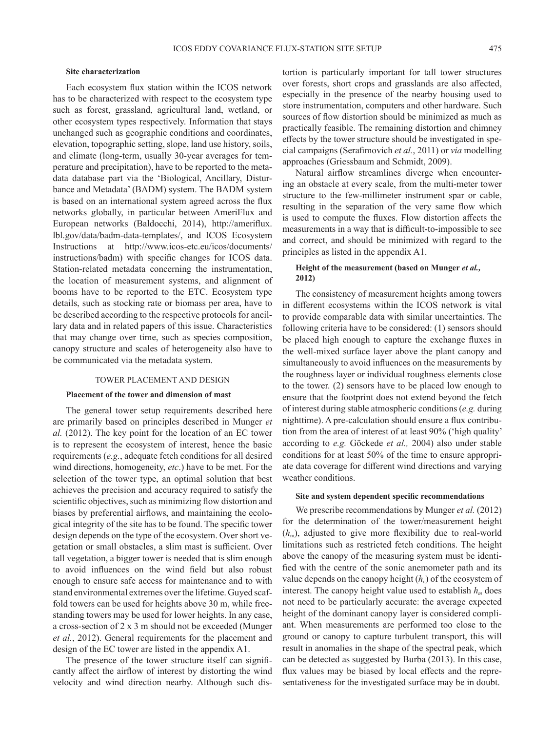## **Site characterization**

Each ecosystem flux station within the ICOS network has to be characterized with respect to the ecosystem type such as forest, grassland, agricultural land, wetland, or other ecosystem types respectively. Information that stays unchanged such as geographic conditions and coordinates, elevation, topographic setting, slope, land use history, soils, and climate (long-term, usually 30-year averages for temperature and precipitation), have to be reported to the metadata database part via the 'Biological, Ancillary, Disturbance and Metadata' (BADM) system. The BADM system is based on an international system agreed across the flux networks globally, in particular between AmeriFlux and European networks (Baldocchi, 2014), http://ameriflux. lbl.gov/data/badm-data-templates/, and ICOS Ecosystem Instructions at http://www.icos-etc.eu/icos/documents/ instructions/badm) with specific changes for ICOS data. Station-related metadata concerning the instrumentation, the location of measurement systems, and alignment of booms have to be reported to the ETC. Ecosystem type details, such as stocking rate or biomass per area, have to be described according to the respective protocols for ancillary data and in related papers of this issue. Characteristics that may change over time, such as species composition, canopy structure and scales of heterogeneity also have to be communicated via the metadata system.

#### TOWER PLACEMENT AND DESIGN

#### **Placement of the tower and dimension of mast**

The general tower setup requirements described here are primarily based on principles described in Munger *et al.* (2012). The key point for the location of an EC tower is to represent the ecosystem of interest, hence the basic requirements (*e.g.*, adequate fetch conditions for all desired wind directions, homogeneity, *etc*.) have to be met. For the selection of the tower type, an optimal solution that best achieves the precision and accuracy required to satisfy the scientific objectives, such as minimizing flow distortion and biases by preferential airflows, and maintaining the ecological integrity of the site has to be found. The specific tower design depends on the type of the ecosystem. Over short vegetation or small obstacles, a slim mast is sufficient. Over tall vegetation, a bigger tower is needed that is slim enough to avoid influences on the wind field but also robust enough to ensure safe access for maintenance and to with stand environmental extremes over the lifetime. Guyed scaffold towers can be used for heights above 30 m, while freestanding towers may be used for lower heights. In any case, a cross-section of 2 x 3 m should not be exceeded (Munger *et al.*, 2012). General requirements for the placement and design of the EC tower are listed in the appendix A1.

The presence of the tower structure itself can significantly affect the airflow of interest by distorting the wind velocity and wind direction nearby. Although such dis-

tortion is particularly important for tall tower structures over forests, short crops and grasslands are also affected, especially in the presence of the nearby housing used to store instrumentation, computers and other hardware. Such sources of flow distortion should be minimized as much as practically feasible. The remaining distortion and chimney effects by the tower structure should be investigated in special campaigns (Serafimovich *et al.*, 2011) or *via* modelling approaches (Griessbaum and Schmidt, 2009).

Natural airflow streamlines diverge when encountering an obstacle at every scale, from the multi-meter tower structure to the few-millimeter instrument spar or cable, resulting in the separation of the very same flow which is used to compute the fluxes. Flow distortion affects the measurements in a way that is difficult-to-impossible to see and correct, and should be minimized with regard to the principles as listed in the appendix A1.

## **Height of the measurement (based on Munger** *et al.,* **2012)**

The consistency of measurement heights among towers in different ecosystems within the ICOS network is vital to provide comparable data with similar uncertainties. The following criteria have to be considered: (1) sensors should be placed high enough to capture the exchange fluxes in the well-mixed surface layer above the plant canopy and simultaneously to avoid influences on the measurements by the roughness layer or individual roughness elements close to the tower. (2) sensors have to be placed low enough to ensure that the footprint does not extend beyond the fetch of interest during stable atmospheric conditions (*e.g.* during nighttime). A pre-calculation should ensure a flux contribution from the area of interest of at least 90% ('high quality' according to *e.g.* Göckede *et al.,* 2004) also under stable conditions for at least 50% of the time to ensure appropriate data coverage for different wind directions and varying weather conditions.

## **Site and system dependent specific recommendations**

We prescribe recommendations by Munger *et al.* (2012) for the determination of the tower/measurement height (*h*m), adjusted to give more flexibility due to real-world limitations such as restricted fetch conditions. The height above the canopy of the measuring system must be identified with the centre of the sonic anemometer path and its value depends on the canopy height ( $h_c$ ) of the ecosystem of interest. The canopy height value used to establish  $h_m$  does not need to be particularly accurate: the average expected height of the dominant canopy layer is considered compliant. When measurements are performed too close to the ground or canopy to capture turbulent transport, this will result in anomalies in the shape of the spectral peak, which can be detected as suggested by Burba (2013). In this case, flux values may be biased by local effects and the representativeness for the investigated surface may be in doubt.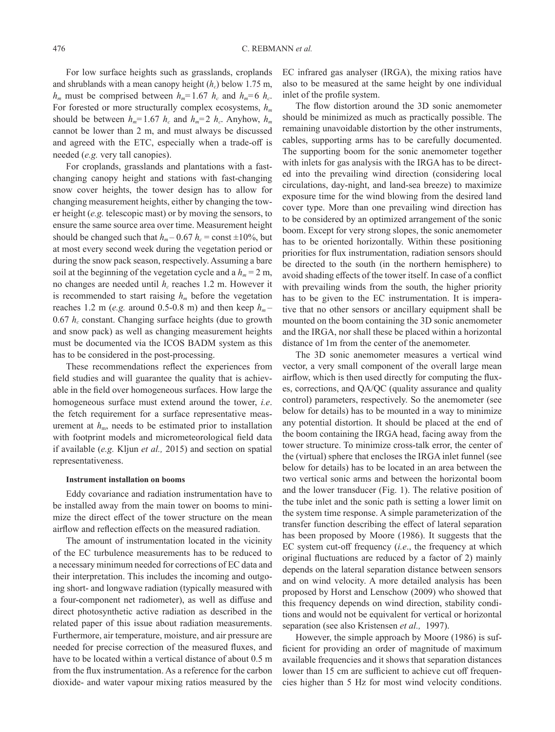For low surface heights such as grasslands, croplands and shrublands with a mean canopy height  $(h_c)$  below 1.75 m,  $h_m$  must be comprised between  $h_m$ =1.67  $h_c$  and  $h_m$ =6  $h_c$ . For forested or more structurally complex ecosystems,  $h_m$ should be between  $h_m = 1.67$   $h_c$  and  $h_m = 2$   $h_c$ . Anyhow,  $h_m$ cannot be lower than 2 m, and must always be discussed and agreed with the ETC, especially when a trade-off is needed (*e.g.* very tall canopies).

For croplands, grasslands and plantations with a fastchanging canopy height and stations with fast-changing snow cover heights, the tower design has to allow for changing measurement heights, either by changing the tower height (*e.g.* telescopic mast) or by moving the sensors, to ensure the same source area over time. Measurement height should be changed such that  $h_m$  – 0.67  $h_c$  = const  $\pm 10\%$ , but at most every second week during the vegetation period or during the snow pack season, respectively. Assuming a bare soil at the beginning of the vegetation cycle and a  $h_m = 2$  m, no changes are needed until *hc* reaches 1.2 m. However it is recommended to start raising  $h_m$  before the vegetation reaches 1.2 m (*e.g.* around 0.5-0.8 m) and then keep  $h_m$ -0.67  $h_c$  constant. Changing surface heights (due to growth and snow pack) as well as changing measurement heights must be documented via the ICOS BADM system as this has to be considered in the post-processing.

These recommendations reflect the experiences from field studies and will guarantee the quality that is achievable in the field over homogeneous surfaces. How large the homogeneous surface must extend around the tower, *i.e*. the fetch requirement for a surface representative measurement at  $h_m$ , needs to be estimated prior to installation with footprint models and micrometeorological field data if available (*e.g.* Kljun *et al.,* 2015) and section on spatial representativeness.

#### **Instrument installation on booms**

Eddy covariance and radiation instrumentation have to be installed away from the main tower on booms to minimize the direct effect of the tower structure on the mean airflow and reflection effects on the measured radiation.

The amount of instrumentation located in the vicinity of the EC turbulence measurements has to be reduced to a necessary minimum needed for corrections of EC data and their interpretation. This includes the incoming and outgoing short- and longwave radiation (typically measured with a four-component net radiometer), as well as diffuse and direct photosynthetic active radiation as described in the related paper of this issue about radiation measurements. Furthermore, air temperature, moisture, and air pressure are needed for precise correction of the measured fluxes, and have to be located within a vertical distance of about 0.5 m from the flux instrumentation. As a reference for the carbon dioxide- and water vapour mixing ratios measured by the EC infrared gas analyser (IRGA), the mixing ratios have also to be measured at the same height by one individual inlet of the profile system.

The flow distortion around the 3D sonic anemometer should be minimized as much as practically possible. The remaining unavoidable distortion by the other instruments, cables, supporting arms has to be carefully documented. The supporting boom for the sonic anemometer together with inlets for gas analysis with the IRGA has to be directed into the prevailing wind direction (considering local circulations, day-night, and land-sea breeze) to maximize exposure time for the wind blowing from the desired land cover type. More than one prevailing wind direction has to be considered by an optimized arrangement of the sonic boom. Except for very strong slopes, the sonic anemometer has to be oriented horizontally. Within these positioning priorities for flux instrumentation, radiation sensors should be directed to the south (in the northern hemisphere) to avoid shading effects of the tower itself. In case of a conflict with prevailing winds from the south, the higher priority has to be given to the EC instrumentation. It is imperative that no other sensors or ancillary equipment shall be mounted on the boom containing the 3D sonic anemometer and the IRGA, nor shall these be placed within a horizontal distance of 1m from the center of the anemometer.

The 3D sonic anemometer measures a vertical wind vector, a very small component of the overall large mean airflow, which is then used directly for computing the fluxes, corrections, and QA/QC (quality assurance and quality control) parameters, respectively. So the anemometer (see below for details) has to be mounted in a way to minimize any potential distortion. It should be placed at the end of the boom containing the IRGA head, facing away from the tower structure. To minimize cross-talk error, the center of the (virtual) sphere that encloses the IRGA inlet funnel (see below for details) has to be located in an area between the two vertical sonic arms and between the horizontal boom and the lower transducer (Fig. 1). The relative position of the tube inlet and the sonic path is setting a lower limit on the system time response. A simple parameterization of the transfer function describing the effect of lateral separation has been proposed by Moore (1986). It suggests that the EC system cut-off frequency (*i.e*., the frequency at which original fluctuations are reduced by a factor of 2) mainly depends on the lateral separation distance between sensors and on wind velocity. A more detailed analysis has been proposed by Horst and Lenschow (2009) who showed that this frequency depends on wind direction, stability conditions and would not be equivalent for vertical or horizontal separation (see also Kristensen *et al.,* 1997).

However, the simple approach by Moore (1986) is sufficient for providing an order of magnitude of maximum available frequencies and it shows that separation distances lower than 15 cm are sufficient to achieve cut off frequencies higher than 5 Hz for most wind velocity conditions.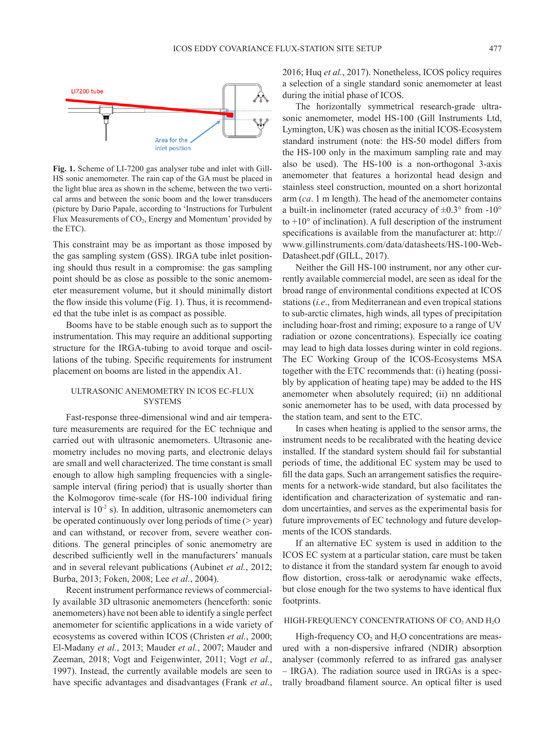

**Fig. 1.** Scheme of LI-7200 gas analyser tube and inlet with Gill-HS sonic anemometer. The rain cap of the GA must be placed in the light blue area as shown in the scheme, between the two vertical arms and between the sonic boom and the lower transducers (picture by Dario Papale, according to 'Instructions for Turbulent Flux Measurements of CO<sub>2</sub>, Energy and Momentum' provided by the ETC).

This constraint may be as important as those imposed by the gas sampling system (GSS). IRGA tube inlet positioning should thus result in a compromise: the gas sampling point should be as close as possible to the sonic anemometer measurement volume, but it should minimally distort the flow inside this volume (Fig. 1). Thus, it is recommended that the tube inlet is as compact as possible.

Booms have to be stable enough such as to support the instrumentation. This may require an additional supporting structure for the IRGA-tubing to avoid torque and oscillations of the tubing. Specific requirements for instrument placement on booms are listed in the appendix A1.

## ULTRASONIC ANEMOMETRY IN ICOS EC-FLUX **SYSTEMS**

Fast-response three-dimensional wind and air temperature measurements are required for the EC technique and carried out with ultrasonic anemometers. Ultrasonic anemometry includes no moving parts, and electronic delays are small and well characterized. The time constant is small enough to allow high sampling frequencies with a singlesample interval (firing period) that is usually shorter than the Kolmogorov time-scale (for HS-100 individual firing interval is  $10^{-2}$  s). In addition, ultrasonic anemometers can be operated continuously over long periods of time (> year) and can withstand, or recover from, severe weather conditions. The general principles of sonic anemometry are described sufficiently well in the manufacturers' manuals and in several relevant publications (Aubinet *et al.*, 2012; Burba, 2013; Foken, 2008; Lee *et al.*, 2004).

Recent instrument performance reviews of commercially available 3D ultrasonic anemometers (henceforth: sonic anemometers) have not been able to identify a single perfect anemometer for scientific applications in a wide variety of ecosystems as covered within ICOS (Christen *et al.*, 2000; El-Madany *et al.*, 2013; Mauder *et al.*, 2007; Mauder and Zeeman, 2018; Vogt and Feigenwinter, 2011; Vogt *et al.*, 1997). Instead, the currently available models are seen to have specific advantages and disadvantages (Frank *et al.*,

2016; Huq *et al.*, 2017). Nonetheless, ICOS policy requires a selection of a single standard sonic anemometer at least during the initial phase of ICOS.

The horizontally symmetrical research-grade ultrasonic anemometer, model HS-100 (Gill Instruments Ltd, Lymington, UK) was chosen as the initial ICOS-Ecosystem standard instrument (note: the HS-50 model differs from the HS-100 only in the maximum sampling rate and may also be used). The HS-100 is a non-orthogonal 3-axis anemometer that features a horizontal head design and stainless steel construction, mounted on a short horizontal arm (*ca*. 1 m length). The head of the anemometer contains a built-in inclinometer (rated accuracy of  $\pm 0.3^{\circ}$  from -10° to  $+10^{\circ}$  of inclination). A full description of the instrument specifications is available from the manufacturer at: http:// www.gillinstruments.com/data/datasheets/HS-100-Web-Datasheet.pdf (GILL, 2017).

Neither the Gill HS-100 instrument, nor any other currently available commercial model, are seen as ideal for the broad range of environmental conditions expected at ICOS stations (*i.e*., from Mediterranean and even tropical stations to sub-arctic climates, high winds, all types of precipitation including hoar-frost and riming; exposure to a range of UV radiation or ozone concentrations). Especially ice coating may lead to high data losses during winter in cold regions. The EC Working Group of the ICOS-Ecosystems MSA together with the ETC recommends that: (i) heating (possibly by application of heating tape) may be added to the HS anemometer when absolutely required; (ii) nn additional sonic anemometer has to be used, with data processed by the station team, and sent to the ETC.

In cases when heating is applied to the sensor arms, the instrument needs to be recalibrated with the heating device installed. If the standard system should fail for substantial periods of time, the additional EC system may be used to fill the data gaps. Such an arrangement satisfies the requirements for a network-wide standard, but also facilitates the identification and characterization of systematic and random uncertainties, and serves as the experimental basis for future improvements of EC technology and future developments of the ICOS standards.

If an alternative EC system is used in addition to the ICOS EC system at a particular station, care must be taken to distance it from the standard system far enough to avoid flow distortion, cross-talk or aerodynamic wake effects, but close enough for the two systems to have identical flux footprints.

### HIGH-FREQUENCY CONCENTRATIONS OF  $CO<sub>2</sub>$  AND  $H<sub>2</sub>O$

High-frequency  $CO<sub>2</sub>$  and  $H<sub>2</sub>O$  concentrations are measured with a non-dispersive infrared (NDIR) absorption analyser (commonly referred to as infrared gas analyser – IRGA). The radiation source used in IRGAs is a spectrally broadband filament source. An optical filter is used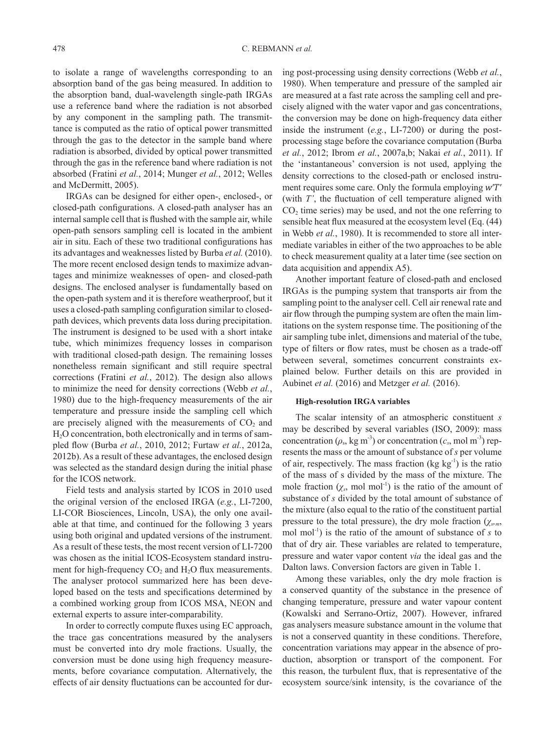to isolate a range of wavelengths corresponding to an absorption band of the gas being measured. In addition to the absorption band, dual-wavelength single-path IRGAs use a reference band where the radiation is not absorbed by any component in the sampling path. The transmittance is computed as the ratio of optical power transmitted through the gas to the detector in the sample band where radiation is absorbed, divided by optical power transmitted through the gas in the reference band where radiation is not absorbed (Fratini *et al.*, 2014; Munger *et al.*, 2012; Welles and McDermitt, 2005).

IRGAs can be designed for either open-, enclosed-, or closed-path configurations. A closed-path analyser has an internal sample cell that is flushed with the sample air, while open-path sensors sampling cell is located in the ambient air in situ. Each of these two traditional configurations has its advantages and weaknesses listed by Burba *et al.* (2010). The more recent enclosed design tends to maximize advantages and minimize weaknesses of open- and closed-path designs. The enclosed analyser is fundamentally based on the open-path system and it is therefore weatherproof, but it uses a closed-path sampling configuration similar to closedpath devices, which prevents data loss during precipitation. The instrument is designed to be used with a short intake tube, which minimizes frequency losses in comparison with traditional closed-path design. The remaining losses nonetheless remain significant and still require spectral corrections (Fratini *et al.*, 2012). The design also allows to minimize the need for density corrections (Webb *et al.*, 1980) due to the high-frequency measurements of the air temperature and pressure inside the sampling cell which are precisely aligned with the measurements of  $CO<sub>2</sub>$  and H<sub>2</sub>O concentration, both electronically and in terms of sampled flow (Burba *et al.*, 2010, 2012; Furtaw *et al.*, 2012a, 2012b). As a result of these advantages, the enclosed design was selected as the standard design during the initial phase for the ICOS network.

Field tests and analysis started by ICOS in 2010 used the original version of the enclosed IRGA (*e.g.*, LI-7200, LI-COR Biosciences, Lincoln, USA), the only one available at that time, and continued for the following 3 years using both original and updated versions of the instrument. As a result of these tests, the most recent version of LI-7200 was chosen as the initial ICOS-Ecosystem standard instrument for high-frequency  $CO<sub>2</sub>$  and  $H<sub>2</sub>O$  flux measurements. The analyser protocol summarized here has been developed based on the tests and specifications determined by a combined working group from ICOS MSA, NEON and external experts to assure inter-comparability.

In order to correctly compute fluxes using EC approach, the trace gas concentrations measured by the analysers must be converted into dry mole fractions. Usually, the conversion must be done using high frequency measurements, before covariance computation. Alternatively, the effects of air density fluctuations can be accounted for during post-processing using density corrections (Webb *et al.*, 1980). When temperature and pressure of the sampled air are measured at a fast rate across the sampling cell and precisely aligned with the water vapor and gas concentrations, the conversion may be done on high-frequency data either inside the instrument (*e.g.*, LI-7200) or during the postprocessing stage before the covariance computation (Burba *et al.*, 2012; Ibrom *et al.*, 2007a,b; Nakai *et al.*, 2011). If the 'instantaneous' conversion is not used, applying the density corrections to the closed-path or enclosed instrument requires some care. Only the formula employing  $wT'$ (with *T'*, the fluctuation of cell temperature aligned with  $CO<sub>2</sub>$  time series) may be used, and not the one referring to sensible heat flux measured at the ecosystem level (Eq. (44) in Webb *et al.*, 1980). It is recommended to store all intermediate variables in either of the two approaches to be able to check measurement quality at a later time (see section on data acquisition and appendix A5).

Another important feature of closed-path and enclosed IRGAs is the pumping system that transports air from the sampling point to the analyser cell. Cell air renewal rate and air flow through the pumping system are often the main limitations on the system response time. The positioning of the air sampling tube inlet, dimensions and material of the tube, type of filters or flow rates, must be chosen as a trade-off between several, sometimes concurrent constraints explained below. Further details on this are provided in Aubinet *et al.* (2016) and Metzger *et al.* (2016).

## **High-resolution IRGA variables**

The scalar intensity of an atmospheric constituent *s*  may be described by several variables (ISO, 2009): mass concentration ( $\rho_s$ , kg m<sup>-3</sup>) or concentration ( $c_s$ , mol m<sup>-3</sup>) represents the mass or the amount of substance of *s* per volume of air, respectively. The mass fraction  $(kg kg<sup>-1</sup>)$  is the ratio of the mass of s divided by the mass of the mixture. The mole fraction  $(\chi_s, \text{mol mol}^{-1})$  is the ratio of the amount of substance of *s* divided by the total amount of substance of the mixture (also equal to the ratio of the constituent partial pressure to the total pressure), the dry mole fraction (*χs,m*, mol mol<sup>-1</sup>) is the ratio of the amount of substance of  $s$  to that of dry air. These variables are related to temperature, pressure and water vapor content *via* the ideal gas and the Dalton laws. Conversion factors are given in Table 1.

Among these variables, only the dry mole fraction is a conserved quantity of the substance in the presence of changing temperature, pressure and water vapour content (Kowalski and Serrano-Ortiz, 2007). However, infrared gas analysers measure substance amount in the volume that is not a conserved quantity in these conditions. Therefore, concentration variations may appear in the absence of production, absorption or transport of the component. For this reason, the turbulent flux, that is representative of the ecosystem source/sink intensity, is the covariance of the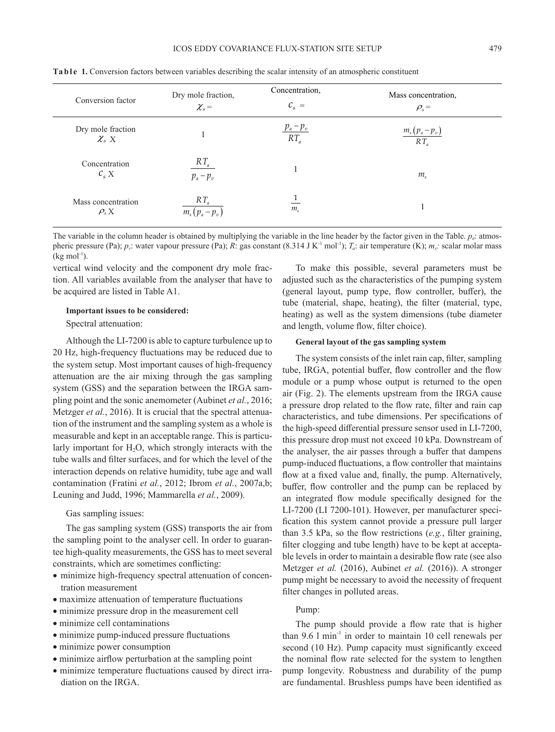| Conversion factor                | Dry mole fraction,                   | Concentration,        | Mass concentration, |
|----------------------------------|--------------------------------------|-----------------------|---------------------|
|                                  | $\chi_{s} =$                         | $C_{\rm s} =$         | $\rho_{\rm s}$ =    |
| Dry mole fraction                |                                      | $\frac{p_a-p_v}{p_a}$ | $m_s(p_a-p_v)$      |
| $\mathcal{X}_s$ X                |                                      | $RT_a$                | $RT_a$              |
| Concentration<br>$C_{s} X$       | $RT_a$<br>$p_a - p_v$                |                       | $m_{\rm s}$         |
| Mass concentration<br>$\rho_s$ X | $RT_a$<br>$n - n$<br>$m_{\tilde{z}}$ | m <sub>s</sub>        |                     |

**Table 1.** Conversion factors between variables describing the scalar intensity of an atmospheric constituent

The variable in the column header is obtained by multiplying the variable in the line header by the factor given in the Table. *pa*: atmospheric pressure (Pa);  $p_v$ : water vapour pressure (Pa); *R*: gas constant (8.314 J K<sup>-1</sup> mol<sup>-1</sup>); *T<sub>a</sub>*: air temperature (K); *m<sub>s</sub>*: scalar molar mass  $(kg \text{ mol}^{-1})$ .

vertical wind velocity and the component dry mole fraction. All variables available from the analyser that have to be acquired are listed in Table A1.

### **Important issues to be considered:**

Spectral attenuation:

Although the LI-7200 is able to capture turbulence up to 20 Hz, high-frequency fluctuations may be reduced due to the system setup. Most important causes of high-frequency attenuation are the air mixing through the gas sampling system (GSS) and the separation between the IRGA sampling point and the sonic anemometer (Aubinet *et al.*, 2016; Metzger *et al.*, 2016). It is crucial that the spectral attenuation of the instrument and the sampling system as a whole is measurable and kept in an acceptable range. This is particularly important for H<sub>2</sub>O, which strongly interacts with the tube walls and filter surfaces, and for which the level of the interaction depends on relative humidity, tube age and wall contamination (Fratini *et al.*, 2012; Ibrom *et al.*, 2007a,b; Leuning and Judd, 1996; Mammarella *et al.*, 2009).

Gas sampling issues:

The gas sampling system (GSS) transports the air from the sampling point to the analyser cell. In order to guarantee high-quality measurements, the GSS has to meet several constraints, which are sometimes conflicting:

- minimize high-frequency spectral attenuation of concentration measurement
- maximize attenuation of temperature fluctuations
- minimize pressure drop in the measurement cell
- minimize cell contaminations
- minimize pump-induced pressure fluctuations
- minimize power consumption
- minimize airflow perturbation at the sampling point
- minimize temperature fluctuations caused by direct irradiation on the IRGA.

To make this possible, several parameters must be adjusted such as the characteristics of the pumping system (general layout, pump type, flow controller, buffer), the tube (material, shape, heating), the filter (material, type, heating) as well as the system dimensions (tube diameter and length, volume flow, filter choice).

#### **General layout of the gas sampling system**

The system consists of the inlet rain cap, filter, sampling tube, IRGA, potential buffer, flow controller and the flow module or a pump whose output is returned to the open air (Fig. 2). The elements upstream from the IRGA cause a pressure drop related to the flow rate, filter and rain cap characteristics, and tube dimensions. Per specifications of the high-speed differential pressure sensor used in LI-7200, this pressure drop must not exceed 10 kPa. Downstream of the analyser, the air passes through a buffer that dampens pump-induced fluctuations, a flow controller that maintains flow at a fixed value and, finally, the pump. Alternatively, buffer, flow controller and the pump can be replaced by an integrated flow module specifically designed for the LI-7200 (LI 7200-101). However, per manufacturer specification this system cannot provide a pressure pull larger than 3.5 kPa, so the flow restrictions (*e.g.*, filter graining, filter clogging and tube length) have to be kept at acceptable levels in order to maintain a desirable flow rate (see also Metzger *et al.* (2016), Aubinet *et al.* (2016)). A stronger pump might be necessary to avoid the necessity of frequent filter changes in polluted areas.

## Pump:

The pump should provide a flow rate that is higher than  $9.6$  l min<sup>-1</sup> in order to maintain 10 cell renewals per second (10 Hz). Pump capacity must significantly exceed the nominal flow rate selected for the system to lengthen pump longevity. Robustness and durability of the pump are fundamental. Brushless pumps have been identified as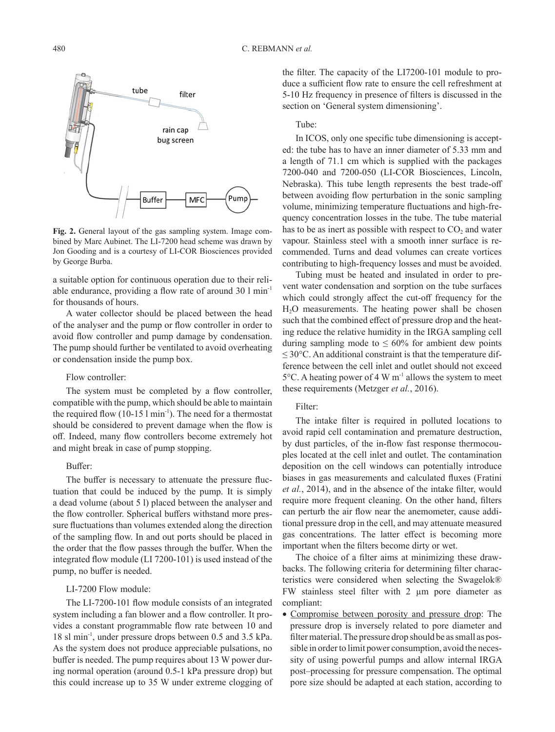

**Fig. 2.** General layout of the gas sampling system. Image combined by Marc Aubinet. The LI-7200 head scheme was drawn by Jon Gooding and is a courtesy of LI-COR Biosciences provided by George Burba.

a suitable option for continuous operation due to their reliable endurance, providing a flow rate of around 30 l min-1 for thousands of hours.

A water collector should be placed between the head of the analyser and the pump or flow controller in order to avoid flow controller and pump damage by condensation. The pump should further be ventilated to avoid overheating or condensation inside the pump box.

#### Flow controller:

The system must be completed by a flow controller, compatible with the pump, which should be able to maintain the required flow  $(10-15 \text{ l min}^{-1})$ . The need for a thermostat should be considered to prevent damage when the flow is off. Indeed, many flow controllers become extremely hot and might break in case of pump stopping.

#### Buffer:

The buffer is necessary to attenuate the pressure fluctuation that could be induced by the pump. It is simply a dead volume (about 5 l) placed between the analyser and the flow controller. Spherical buffers withstand more pressure fluctuations than volumes extended along the direction of the sampling flow. In and out ports should be placed in the order that the flow passes through the buffer. When the integrated flow module (LI 7200-101) is used instead of the pump, no buffer is needed.

# LI-7200 Flow module:

The LI-7200-101 flow module consists of an integrated system including a fan blower and a flow controller. It provides a constant programmable flow rate between 10 and 18 sl min-1, under pressure drops between 0.5 and 3.5 kPa. As the system does not produce appreciable pulsations, no buffer is needed. The pump requires about 13 W power during normal operation (around 0.5-1 kPa pressure drop) but this could increase up to 35 W under extreme clogging of the filter. The capacity of the LI7200-101 module to produce a sufficient flow rate to ensure the cell refreshment at 5-10 Hz frequency in presence of filters is discussed in the section on 'General system dimensioning'.

## Tube:

In ICOS, only one specific tube dimensioning is accepted: the tube has to have an inner diameter of 5.33 mm and a length of 71.1 cm which is supplied with the packages 7200-040 and 7200-050 (LI-COR Biosciences, Lincoln, Nebraska). This tube length represents the best trade-off between avoiding flow perturbation in the sonic sampling volume, minimizing temperature fluctuations and high-frequency concentration losses in the tube. The tube material has to be as inert as possible with respect to  $CO<sub>2</sub>$  and water vapour. Stainless steel with a smooth inner surface is recommended. Turns and dead volumes can create vortices contributing to high-frequency losses and must be avoided.

Tubing must be heated and insulated in order to prevent water condensation and sorption on the tube surfaces which could strongly affect the cut-off frequency for the H2O measurements. The heating power shall be chosen such that the combined effect of pressure drop and the heating reduce the relative humidity in the IRGA sampling cell during sampling mode to  $\leq 60\%$  for ambient dew points  $\leq$  30°C. An additional constraint is that the temperature difference between the cell inlet and outlet should not exceed  $5^{\circ}$ C. A heating power of 4 W m<sup>-1</sup> allows the system to meet these requirements (Metzger *et al.*, 2016).

## Filter:

The intake filter is required in polluted locations to avoid rapid cell contamination and premature destruction, by dust particles, of the in-flow fast response thermocouples located at the cell inlet and outlet. The contamination deposition on the cell windows can potentially introduce biases in gas measurements and calculated fluxes (Fratini *et al.*, 2014), and in the absence of the intake filter, would require more frequent cleaning. On the other hand, filters can perturb the air flow near the anemometer, cause additional pressure drop in the cell, and may attenuate measured gas concentrations. The latter effect is becoming more important when the filters become dirty or wet.

The choice of a filter aims at minimizing these drawbacks. The following criteria for determining filter characteristics were considered when selecting the Swagelok® FW stainless steel filter with 2 µm pore diameter as compliant:

• Compromise between porosity and pressure drop: The pressure drop is inversely related to pore diameter and filter material. The pressure drop should be as small as possible in order to limit power consumption, avoid the necessity of using powerful pumps and allow internal IRGA post–processing for pressure compensation. The optimal pore size should be adapted at each station, according to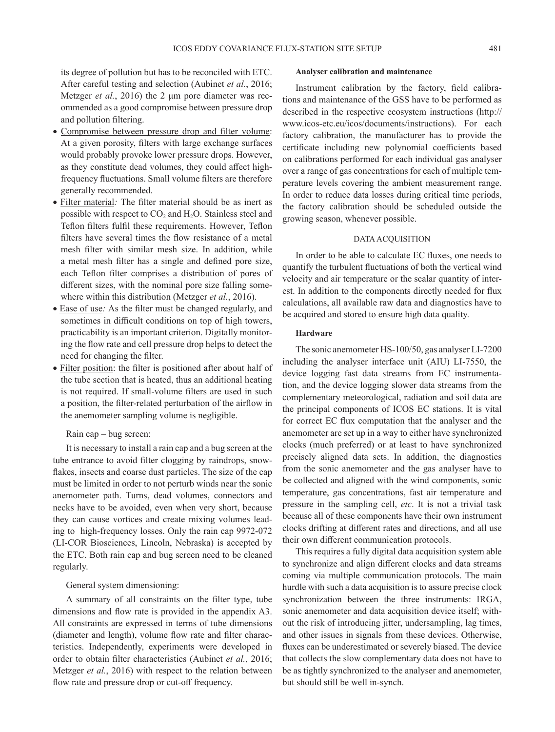its degree of pollution but has to be reconciled with ETC. After careful testing and selection (Aubinet *et al.*, 2016; Metzger *et al.*, 2016) the 2 μm pore diameter was recommended as a good compromise between pressure drop and pollution filtering.

- Compromise between pressure drop and filter volume: At a given porosity, filters with large exchange surfaces would probably provoke lower pressure drops. However, as they constitute dead volumes, they could affect highfrequency fluctuations. Small volume filters are therefore generally recommended.
- Filter material*:* The filter material should be as inert as possible with respect to  $CO<sub>2</sub>$  and  $H<sub>2</sub>O$ . Stainless steel and Teflon filters fulfil these requirements. However, Teflon filters have several times the flow resistance of a metal mesh filter with similar mesh size. In addition, while a metal mesh filter has a single and defined pore size, each Teflon filter comprises a distribution of pores of different sizes, with the nominal pore size falling somewhere within this distribution (Metzger *et al.*, 2016).
- Ease of use*:* As the filter must be changed regularly, and sometimes in difficult conditions on top of high towers, practicability is an important criterion. Digitally monitoring the flow rate and cell pressure drop helps to detect the need for changing the filter.
- Filter position: the filter is positioned after about half of the tube section that is heated, thus an additional heating is not required. If small-volume filters are used in such a position, the filter-related perturbation of the airflow in the anemometer sampling volume is negligible.

## Rain cap – bug screen:

It is necessary to install a rain cap and a bug screen at the tube entrance to avoid filter clogging by raindrops, snowflakes, insects and coarse dust particles. The size of the cap must be limited in order to not perturb winds near the sonic anemometer path. Turns, dead volumes, connectors and necks have to be avoided, even when very short, because they can cause vortices and create mixing volumes leading to high-frequency losses. Only the rain cap 9972-072 (LI-COR Biosciences, Lincoln, Nebraska) is accepted by the ETC. Both rain cap and bug screen need to be cleaned regularly.

## General system dimensioning:

A summary of all constraints on the filter type, tube dimensions and flow rate is provided in the appendix A3. All constraints are expressed in terms of tube dimensions (diameter and length), volume flow rate and filter characteristics. Independently, experiments were developed in order to obtain filter characteristics (Aubinet *et al.*, 2016; Metzger *et al.*, 2016) with respect to the relation between flow rate and pressure drop or cut-off frequency.

## **Analyser calibration and maintenance**

Instrument calibration by the factory, field calibrations and maintenance of the GSS have to be performed as described in the respective ecosystem instructions (http:// www.icos-etc.eu/icos/documents/instructions). For each factory calibration, the manufacturer has to provide the certificate including new polynomial coefficients based on calibrations performed for each individual gas analyser over a range of gas concentrations for each of multiple temperature levels covering the ambient measurement range. In order to reduce data losses during critical time periods, the factory calibration should be scheduled outside the growing season, whenever possible.

## DATA ACQUISITION

In order to be able to calculate EC fluxes, one needs to quantify the turbulent fluctuations of both the vertical wind velocity and air temperature or the scalar quantity of interest. In addition to the components directly needed for flux calculations, all available raw data and diagnostics have to be acquired and stored to ensure high data quality.

#### **Hardware**

The sonic anemometer HS-100/50, gas analyser LI-7200 including the analyser interface unit (AIU) LI-7550, the device logging fast data streams from EC instrumentation, and the device logging slower data streams from the complementary meteorological, radiation and soil data are the principal components of ICOS EC stations. It is vital for correct EC flux computation that the analyser and the anemometer are set up in a way to either have synchronized clocks (much preferred) or at least to have synchronized precisely aligned data sets. In addition, the diagnostics from the sonic anemometer and the gas analyser have to be collected and aligned with the wind components, sonic temperature, gas concentrations, fast air temperature and pressure in the sampling cell, *etc*. It is not a trivial task because all of these components have their own instrument clocks drifting at different rates and directions, and all use their own different communication protocols.

This requires a fully digital data acquisition system able to synchronize and align different clocks and data streams coming via multiple communication protocols. The main hurdle with such a data acquisition is to assure precise clock synchronization between the three instruments: IRGA, sonic anemometer and data acquisition device itself; without the risk of introducing jitter, undersampling, lag times, and other issues in signals from these devices. Otherwise, fluxes can be underestimated or severely biased. The device that collects the slow complementary data does not have to be as tightly synchronized to the analyser and anemometer, but should still be well in-synch.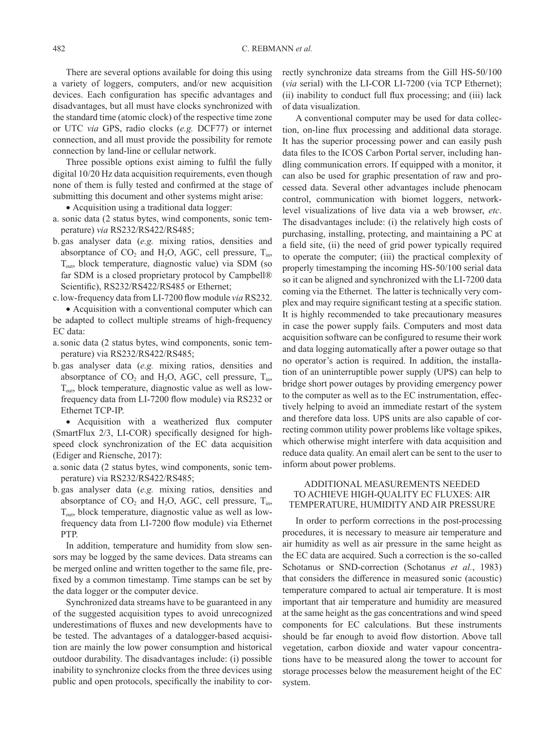#### 482 C. REBMANN *et al.*

There are several options available for doing this using a variety of loggers, computers, and/or new acquisition devices. Each configuration has specific advantages and disadvantages, but all must have clocks synchronized with the standard time (atomic clock) of the respective time zone or UTC *via* GPS, radio clocks (*e.g.* DCF77) or internet connection, and all must provide the possibility for remote connection by land-line or cellular network.

Three possible options exist aiming to fulfil the fully digital 10/20 Hz data acquisition requirements, even though none of them is fully tested and confirmed at the stage of submitting this document and other systems might arise:

- Acquisition using a traditional data logger:
- a. sonic data (2 status bytes, wind components, sonic temperature) *via* RS232/RS422/RS485;
- b. gas analyser data (*e.g.* mixing ratios, densities and absorptance of  $CO_2$  and  $H_2O$ , AGC, cell pressure,  $T_{in}$ , Tout, block temperature, diagnostic value) via SDM (so far SDM is a closed proprietary protocol by Campbell® Scientific), RS232/RS422/RS485 or Ethernet;
- c.low-frequency data from LI-7200 flow module *via* RS232.

• Acquisition with a conventional computer which can be adapted to collect multiple streams of high-frequency EC data:

- a.sonic data (2 status bytes, wind components, sonic temperature) via RS232/RS422/RS485;
- b. gas analyser data (*e.g.* mixing ratios, densities and absorptance of  $CO_2$  and  $H_2O$ , AGC, cell pressure,  $T_{in}$ ,  $T<sub>out</sub>$ , block temperature, diagnostic value as well as lowfrequency data from LI-7200 flow module) via RS232 or Ethernet TCP-IP.

• Acquisition with a weatherized flux computer (SmartFlux 2/3, LI-COR) specifically designed for highspeed clock synchronization of the EC data acquisition (Ediger and Riensche, 2017):

- a.sonic data (2 status bytes, wind components, sonic temperature) via RS232/RS422/RS485;
- b.gas analyser data (*e.g.* mixing ratios, densities and absorptance of  $CO_2$  and H<sub>2</sub>O, AGC, cell pressure, T<sub>in</sub>, Tout, block temperature, diagnostic value as well as lowfrequency data from LI-7200 flow module) via Ethernet PTP.

In addition, temperature and humidity from slow sensors may be logged by the same devices. Data streams can be merged online and written together to the same file, prefixed by a common timestamp. Time stamps can be set by the data logger or the computer device.

Synchronized data streams have to be guaranteed in any of the suggested acquisition types to avoid unrecognized underestimations of fluxes and new developments have to be tested. The advantages of a datalogger-based acquisition are mainly the low power consumption and historical outdoor durability. The disadvantages include: (i) possible inability to synchronize clocks from the three devices using public and open protocols, specifically the inability to correctly synchronize data streams from the Gill HS-50/100 (*via* serial) with the LI-COR LI-7200 (via TCP Ethernet); (ii) inability to conduct full flux processing; and (iii) lack of data visualization.

A conventional computer may be used for data collection, on-line flux processing and additional data storage. It has the superior processing power and can easily push data files to the ICOS Carbon Portal server, including handling communication errors. If equipped with a monitor, it can also be used for graphic presentation of raw and processed data. Several other advantages include phenocam control, communication with biomet loggers, networklevel visualizations of live data via a web browser, *etc*. The disadvantages include: (i) the relatively high costs of purchasing, installing, protecting, and maintaining a PC at a field site, (ii) the need of grid power typically required to operate the computer; (iii) the practical complexity of properly timestamping the incoming HS-50/100 serial data so it can be aligned and synchronized with the LI-7200 data coming via the Ethernet. The latter is technically very complex and may require significant testing at a specific station. It is highly recommended to take precautionary measures in case the power supply fails. Computers and most data acquisition software can be configured to resume their work and data logging automatically after a power outage so that no operator's action is required. In addition, the installation of an uninterruptible power supply (UPS) can help to bridge short power outages by providing emergency power to the computer as well as to the EC instrumentation, effectively helping to avoid an immediate restart of the system and therefore data loss. UPS units are also capable of correcting common utility power problems like voltage spikes, which otherwise might interfere with data acquisition and reduce data quality. An email alert can be sent to the user to inform about power problems.

# ADDITIONAL MEASUREMENTS NEEDED TO ACHIEVE HIGH-QUALITY EC FLUXES: AIR TEMPERATURE, HUMIDITY AND AIR PRESSURE

In order to perform corrections in the post-processing procedures, it is necessary to measure air temperature and air humidity as well as air pressure in the same height as the EC data are acquired. Such a correction is the so-called Schotanus or SND-correction (Schotanus *et al.*, 1983) that considers the difference in measured sonic (acoustic) temperature compared to actual air temperature. It is most important that air temperature and humidity are measured at the same height as the gas concentrations and wind speed components for EC calculations. But these instruments should be far enough to avoid flow distortion. Above tall vegetation, carbon dioxide and water vapour concentrations have to be measured along the tower to account for storage processes below the measurement height of the EC system.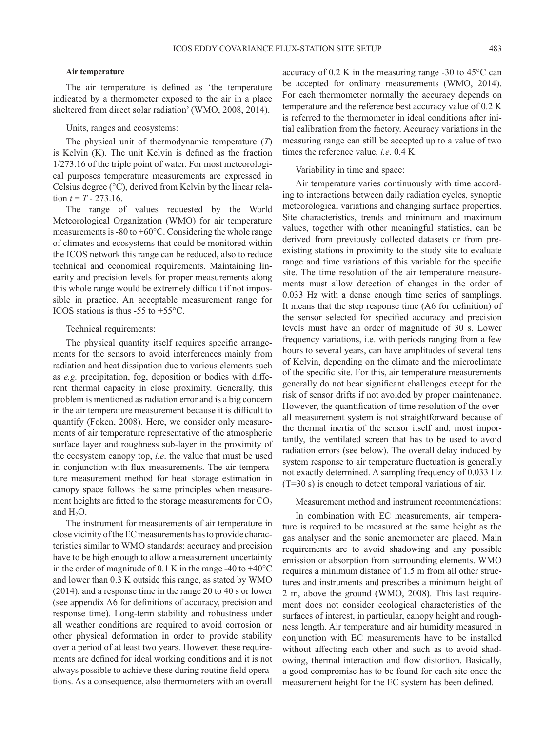## **Air temperature**

The air temperature is defined as 'the temperature indicated by a thermometer exposed to the air in a place sheltered from direct solar radiation' (WMO, 2008, 2014).

## Units, ranges and ecosystems:

The physical unit of thermodynamic temperature (*T*) is Kelvin (K). The unit Kelvin is defined as the fraction 1/273.16 of the triple point of water. For most meteorological purposes temperature measurements are expressed in Celsius degree (°C), derived from Kelvin by the linear relation  $t = T - 273.16$ .

The range of values requested by the World Meteorological Organization (WMO) for air temperature measurements is -80 to +60°C. Considering the whole range of climates and ecosystems that could be monitored within the ICOS network this range can be reduced, also to reduce technical and economical requirements. Maintaining linearity and precision levels for proper measurements along this whole range would be extremely difficult if not impossible in practice. An acceptable measurement range for ICOS stations is thus  $-55$  to  $+55^{\circ}$ C.

## Technical requirements:

The physical quantity itself requires specific arrangements for the sensors to avoid interferences mainly from radiation and heat dissipation due to various elements such as *e.g.* precipitation, fog, deposition or bodies with different thermal capacity in close proximity. Generally, this problem is mentioned as radiation error and is a big concern in the air temperature measurement because it is difficult to quantify (Foken, 2008). Here, we consider only measurements of air temperature representative of the atmospheric surface layer and roughness sub-layer in the proximity of the ecosystem canopy top, *i.e*. the value that must be used in conjunction with flux measurements. The air temperature measurement method for heat storage estimation in canopy space follows the same principles when measurement heights are fitted to the storage measurements for  $CO<sub>2</sub>$ and H<sub>2</sub>O.

The instrument for measurements of air temperature in close vicinity of the EC measurements has to provide characteristics similar to WMO standards: accuracy and precision have to be high enough to allow a measurement uncertainty in the order of magnitude of 0.1 K in the range -40 to +40°C and lower than 0.3 K outside this range, as stated by WMO (2014), and a response time in the range 20 to 40 s or lower (see appendix A6 for definitions of accuracy, precision and response time). Long-term stability and robustness under all weather conditions are required to avoid corrosion or other physical deformation in order to provide stability over a period of at least two years. However, these requirements are defined for ideal working conditions and it is not always possible to achieve these during routine field operations. As a consequence, also thermometers with an overall

accuracy of 0.2 K in the measuring range -30 to 45°C can be accepted for ordinary measurements (WMO, 2014). For each thermometer normally the accuracy depends on temperature and the reference best accuracy value of 0.2 K is referred to the thermometer in ideal conditions after initial calibration from the factory. Accuracy variations in the measuring range can still be accepted up to a value of two times the reference value, *i.e*. 0.4 K.

#### Variability in time and space:

Air temperature varies continuously with time according to interactions between daily radiation cycles, synoptic meteorological variations and changing surface properties. Site characteristics, trends and minimum and maximum values, together with other meaningful statistics, can be derived from previously collected datasets or from preexisting stations in proximity to the study site to evaluate range and time variations of this variable for the specific site. The time resolution of the air temperature measurements must allow detection of changes in the order of 0.033 Hz with a dense enough time series of samplings. It means that the step response time (A6 for definition) of the sensor selected for specified accuracy and precision levels must have an order of magnitude of 30 s. Lower frequency variations, i.e. with periods ranging from a few hours to several years, can have amplitudes of several tens of Kelvin, depending on the climate and the microclimate of the specific site. For this, air temperature measurements generally do not bear significant challenges except for the risk of sensor drifts if not avoided by proper maintenance. However, the quantification of time resolution of the overall measurement system is not straightforward because of the thermal inertia of the sensor itself and, most importantly, the ventilated screen that has to be used to avoid radiation errors (see below). The overall delay induced by system response to air temperature fluctuation is generally not exactly determined. A sampling frequency of 0.033 Hz (T=30 s) is enough to detect temporal variations of air.

#### Measurement method and instrument recommendations:

In combination with EC measurements, air temperature is required to be measured at the same height as the gas analyser and the sonic anemometer are placed. Main requirements are to avoid shadowing and any possible emission or absorption from surrounding elements. WMO requires a minimum distance of 1.5 m from all other structures and instruments and prescribes a minimum height of 2 m, above the ground (WMO, 2008). This last requirement does not consider ecological characteristics of the surfaces of interest, in particular, canopy height and roughness length. Air temperature and air humidity measured in conjunction with EC measurements have to be installed without affecting each other and such as to avoid shadowing, thermal interaction and flow distortion. Basically, a good compromise has to be found for each site once the measurement height for the EC system has been defined.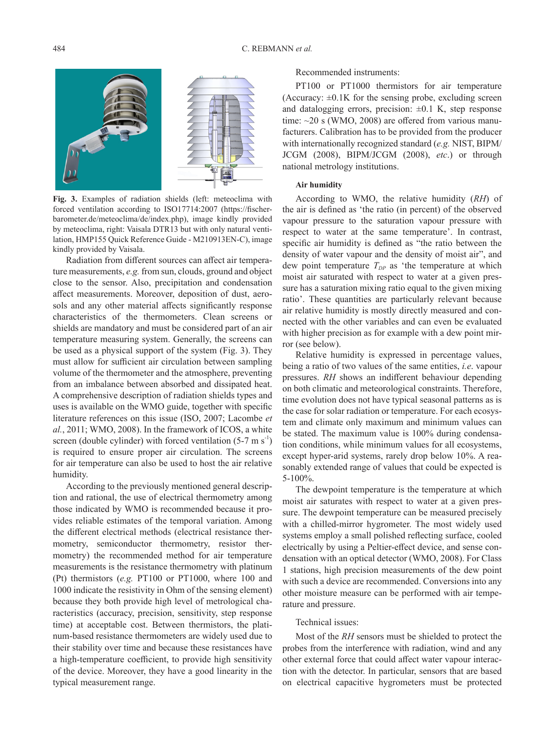

**Fig. 3.** Examples of radiation shields (left: meteoclima with forced ventilation according to ISO17714:2007 (https://fischerbarometer.de/meteoclima/de/index.php), image kindly provided by meteoclima, right: Vaisala DTR13 but with only natural ventilation, HMP155 Quick Reference Guide - M210913EN-C), image kindly provided by Vaisala.

Radiation from different sources can affect air temperature measurements, *e.g.* from sun, clouds, ground and object close to the sensor. Also, precipitation and condensation affect measurements. Moreover, deposition of dust, aerosols and any other material affects significantly response characteristics of the thermometers. Clean screens or shields are mandatory and must be considered part of an air temperature measuring system. Generally, the screens can be used as a physical support of the system (Fig. 3). They must allow for sufficient air circulation between sampling volume of the thermometer and the atmosphere, preventing from an imbalance between absorbed and dissipated heat. A comprehensive description of radiation shields types and uses is available on the WMO guide, together with specific literature references on this issue (ISO, 2007; Lacombe *et al.*, 2011; WMO, 2008). In the framework of ICOS, a white screen (double cylinder) with forced ventilation  $(5-7 \text{ m s}^{-1})$ is required to ensure proper air circulation. The screens for air temperature can also be used to host the air relative humidity.

According to the previously mentioned general description and rational, the use of electrical thermometry among those indicated by WMO is recommended because it provides reliable estimates of the temporal variation. Among the different electrical methods (electrical resistance thermometry, semiconductor thermometry, resistor thermometry) the recommended method for air temperature measurements is the resistance thermometry with platinum (Pt) thermistors (*e.g.* PT100 or PT1000, where 100 and 1000 indicate the resistivity in Ohm of the sensing element) because they both provide high level of metrological characteristics (accuracy, precision, sensitivity, step response time) at acceptable cost. Between thermistors, the platinum-based resistance thermometers are widely used due to their stability over time and because these resistances have a high-temperature coefficient, to provide high sensitivity of the device. Moreover, they have a good linearity in the typical measurement range.

Recommended instruments:

PT100 or PT1000 thermistors for air temperature (Accuracy:  $\pm 0.1K$  for the sensing probe, excluding screen and datalogging errors, precision:  $\pm 0.1$  K, step response time: ~20 s (WMO, 2008) are offered from various manufacturers. Calibration has to be provided from the producer with internationally recognized standard (*e.g.* NIST, BIPM/ JCGM (2008), BIPM/JCGM (2008), *etc*.) or through national metrology institutions.

#### **Air humidity**

According to WMO, the relative humidity (*RH*) of the air is defined as 'the ratio (in percent) of the observed vapour pressure to the saturation vapour pressure with respect to water at the same temperature'. In contrast, specific air humidity is defined as "the ratio between the density of water vapour and the density of moist air", and dew point temperature  $T_{DP}$  as 'the temperature at which moist air saturated with respect to water at a given pressure has a saturation mixing ratio equal to the given mixing ratio'. These quantities are particularly relevant because air relative humidity is mostly directly measured and connected with the other variables and can even be evaluated with higher precision as for example with a dew point mirror (see below).

Relative humidity is expressed in percentage values, being a ratio of two values of the same entities, *i.e*. vapour pressures. *RH* shows an indifferent behaviour depending on both climatic and meteorological constraints. Therefore, time evolution does not have typical seasonal patterns as is the case for solar radiation or temperature. For each ecosystem and climate only maximum and minimum values can be stated. The maximum value is 100% during condensation conditions, while minimum values for all ecosystems, except hyper-arid systems, rarely drop below 10%. A reasonably extended range of values that could be expected is 5-100%.

The dewpoint temperature is the temperature at which moist air saturates with respect to water at a given pressure. The dewpoint temperature can be measured precisely with a chilled-mirror hygrometer. The most widely used systems employ a small polished reflecting surface, cooled electrically by using a Peltier-effect device, and sense condensation with an optical detector (WMO, 2008). For Class 1 stations, high precision measurements of the dew point with such a device are recommended. Conversions into any other moisture measure can be performed with air temperature and pressure.

#### Technical issues:

Most of the *RH* sensors must be shielded to protect the probes from the interference with radiation, wind and any other external force that could affect water vapour interaction with the detector. In particular, sensors that are based on electrical capacitive hygrometers must be protected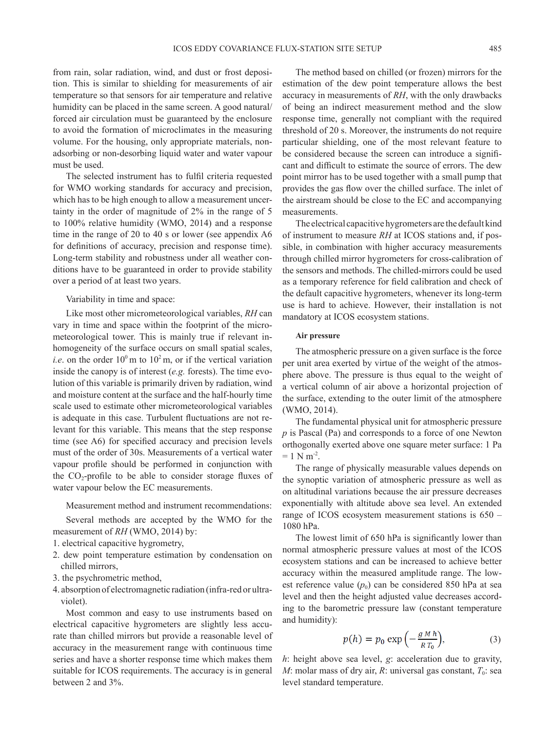from rain, solar radiation, wind, and dust or frost deposition. This is similar to shielding for measurements of air temperature so that sensors for air temperature and relative humidity can be placed in the same screen. A good natural/ forced air circulation must be guaranteed by the enclosure to avoid the formation of microclimates in the measuring volume. For the housing, only appropriate materials, nonadsorbing or non-desorbing liquid water and water vapour must be used.

The selected instrument has to fulfil criteria requested for WMO working standards for accuracy and precision, which has to be high enough to allow a measurement uncertainty in the order of magnitude of 2% in the range of 5 to 100% relative humidity (WMO, 2014) and a response time in the range of 20 to 40 s or lower (see appendix A6 for definitions of accuracy, precision and response time). Long-term stability and robustness under all weather conditions have to be guaranteed in order to provide stability over a period of at least two years.

#### Variability in time and space:

Like most other micrometeorological variables, *RH* can vary in time and space within the footprint of the micrometeorological tower. This is mainly true if relevant inhomogeneity of the surface occurs on small spatial scales, *i.e.* on the order  $10^{\circ}$  m to  $10^{\circ}$  m, or if the vertical variation inside the canopy is of interest (*e.g.* forests). The time evolution of this variable is primarily driven by radiation, wind and moisture content at the surface and the half-hourly time scale used to estimate other micrometeorological variables is adequate in this case. Turbulent fluctuations are not relevant for this variable. This means that the step response time (see A6) for specified accuracy and precision levels must of the order of 30s. Measurements of a vertical water vapour profile should be performed in conjunction with the  $CO_2$ -profile to be able to consider storage fluxes of water vapour below the EC measurements.

Measurement method and instrument recommendations:

Several methods are accepted by the WMO for the measurement of *RH* (WMO, 2014) by:

- 1. electrical capacitive hygrometry,
- 2. dew point temperature estimation by condensation on chilled mirrors,
- 3. the psychrometric method,
- 4. absorption of electromagnetic radiation (infra-red or ultraviolet).

Most common and easy to use instruments based on electrical capacitive hygrometers are slightly less accurate than chilled mirrors but provide a reasonable level of accuracy in the measurement range with continuous time series and have a shorter response time which makes them suitable for ICOS requirements. The accuracy is in general between 2 and 3%.

The method based on chilled (or frozen) mirrors for the estimation of the dew point temperature allows the best accuracy in measurements of *RH*, with the only drawbacks of being an indirect measurement method and the slow response time, generally not compliant with the required threshold of 20 s. Moreover, the instruments do not require particular shielding, one of the most relevant feature to be considered because the screen can introduce a significant and difficult to estimate the source of errors. The dew point mirror has to be used together with a small pump that provides the gas flow over the chilled surface. The inlet of the airstream should be close to the EC and accompanying measurements.

The electrical capacitive hygrometers are the default kind of instrument to measure *RH* at ICOS stations and, if possible, in combination with higher accuracy measurements through chilled mirror hygrometers for cross-calibration of the sensors and methods. The chilled-mirrors could be used as a temporary reference for field calibration and check of the default capacitive hygrometers, whenever its long-term use is hard to achieve. However, their installation is not mandatory at ICOS ecosystem stations.

#### **Air pressure**

The atmospheric pressure on a given surface is the force per unit area exerted by virtue of the weight of the atmosphere above. The pressure is thus equal to the weight of a vertical column of air above a horizontal projection of the surface, extending to the outer limit of the atmosphere (WMO, 2014).

The fundamental physical unit for atmospheric pressure *p* is Pascal (Pa) and corresponds to a force of one Newton orthogonally exerted above one square meter surface: 1 Pa  $= 1$  N m<sup>-2</sup>.

The range of physically measurable values depends on the synoptic variation of atmospheric pressure as well as on altitudinal variations because the air pressure decreases exponentially with altitude above sea level. An extended range of ICOS ecosystem measurement stations is 650 – 1080 hPa.

The lowest limit of 650 hPa is significantly lower than normal atmospheric pressure values at most of the ICOS ecosystem stations and can be increased to achieve better accuracy within the measured amplitude range. The lowest reference value  $(p_0)$  can be considered 850 hPa at sea level and then the height adjusted value decreases according to the barometric pressure law (constant temperature and humidity):

$$
p(h) = p_0 \exp\left(-\frac{g M h}{R T_0}\right),\tag{3}
$$

*h*: height above sea level, *g*: acceleration due to gravity, *M*: molar mass of dry air, *R*: universal gas constant,  $T_0$ : sea level standard temperature.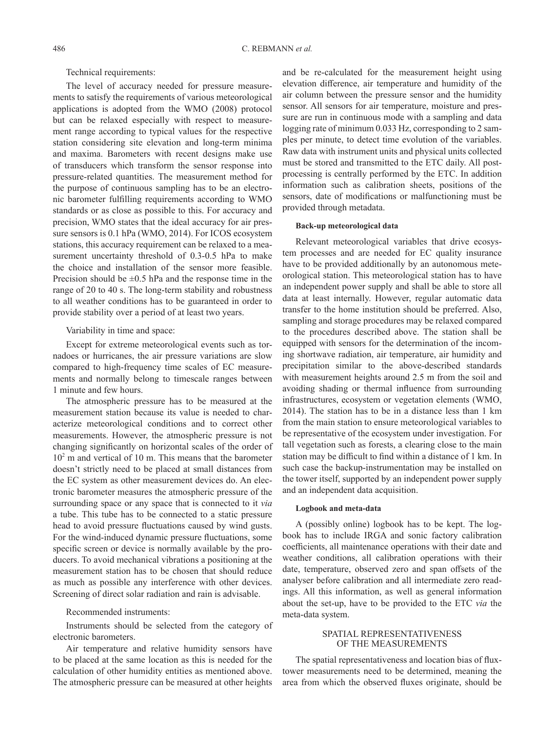Technical requirements:

The level of accuracy needed for pressure measurements to satisfy the requirements of various meteorological applications is adopted from the WMO (2008) protocol but can be relaxed especially with respect to measurement range according to typical values for the respective station considering site elevation and long-term minima and maxima. Barometers with recent designs make use of transducers which transform the sensor response into pressure-related quantities. The measurement method for the purpose of continuous sampling has to be an electronic barometer fulfilling requirements according to WMO standards or as close as possible to this. For accuracy and precision, WMO states that the ideal accuracy for air pressure sensors is 0.1 hPa (WMO, 2014). For ICOS ecosystem stations, this accuracy requirement can be relaxed to a measurement uncertainty threshold of 0.3-0.5 hPa to make the choice and installation of the sensor more feasible. Precision should be  $\pm 0.5$  hPa and the response time in the range of 20 to 40 s. The long-term stability and robustness to all weather conditions has to be guaranteed in order to provide stability over a period of at least two years.

# Variability in time and space:

Except for extreme meteorological events such as tornadoes or hurricanes, the air pressure variations are slow compared to high-frequency time scales of EC measurements and normally belong to timescale ranges between 1 minute and few hours.

The atmospheric pressure has to be measured at the measurement station because its value is needed to characterize meteorological conditions and to correct other measurements. However, the atmospheric pressure is not changing significantly on horizontal scales of the order of  $10<sup>2</sup>$  m and vertical of 10 m. This means that the barometer doesn't strictly need to be placed at small distances from the EC system as other measurement devices do. An electronic barometer measures the atmospheric pressure of the surrounding space or any space that is connected to it *via* a tube. This tube has to be connected to a static pressure head to avoid pressure fluctuations caused by wind gusts. For the wind-induced dynamic pressure fluctuations, some specific screen or device is normally available by the producers. To avoid mechanical vibrations a positioning at the measurement station has to be chosen that should reduce as much as possible any interference with other devices. Screening of direct solar radiation and rain is advisable.

#### Recommended instruments:

Instruments should be selected from the category of electronic barometers.

Air temperature and relative humidity sensors have to be placed at the same location as this is needed for the calculation of other humidity entities as mentioned above. The atmospheric pressure can be measured at other heights

and be re-calculated for the measurement height using elevation difference, air temperature and humidity of the air column between the pressure sensor and the humidity sensor. All sensors for air temperature, moisture and pressure are run in continuous mode with a sampling and data logging rate of minimum 0.033 Hz, corresponding to 2 samples per minute, to detect time evolution of the variables. Raw data with instrument units and physical units collected must be stored and transmitted to the ETC daily. All postprocessing is centrally performed by the ETC. In addition information such as calibration sheets, positions of the sensors, date of modifications or malfunctioning must be provided through metadata.

#### **Back-up meteorological data**

Relevant meteorological variables that drive ecosystem processes and are needed for EC quality insurance have to be provided additionally by an autonomous meteorological station. This meteorological station has to have an independent power supply and shall be able to store all data at least internally. However, regular automatic data transfer to the home institution should be preferred. Also, sampling and storage procedures may be relaxed compared to the procedures described above. The station shall be equipped with sensors for the determination of the incoming shortwave radiation, air temperature, air humidity and precipitation similar to the above-described standards with measurement heights around 2.5 m from the soil and avoiding shading or thermal influence from surrounding infrastructures, ecosystem or vegetation elements (WMO, 2014). The station has to be in a distance less than 1 km from the main station to ensure meteorological variables to be representative of the ecosystem under investigation. For tall vegetation such as forests, a clearing close to the main station may be difficult to find within a distance of 1 km. In such case the backup-instrumentation may be installed on the tower itself, supported by an independent power supply and an independent data acquisition.

#### **Logbook and meta-data**

A (possibly online) logbook has to be kept. The logbook has to include IRGA and sonic factory calibration coefficients, all maintenance operations with their date and weather conditions, all calibration operations with their date, temperature, observed zero and span offsets of the analyser before calibration and all intermediate zero readings. All this information, as well as general information about the set-up, have to be provided to the ETC *via* the meta-data system.

### SPATIAL REPRESENTATIVENESS OF THE MEASUREMENTS

The spatial representativeness and location bias of fluxtower measurements need to be determined, meaning the area from which the observed fluxes originate, should be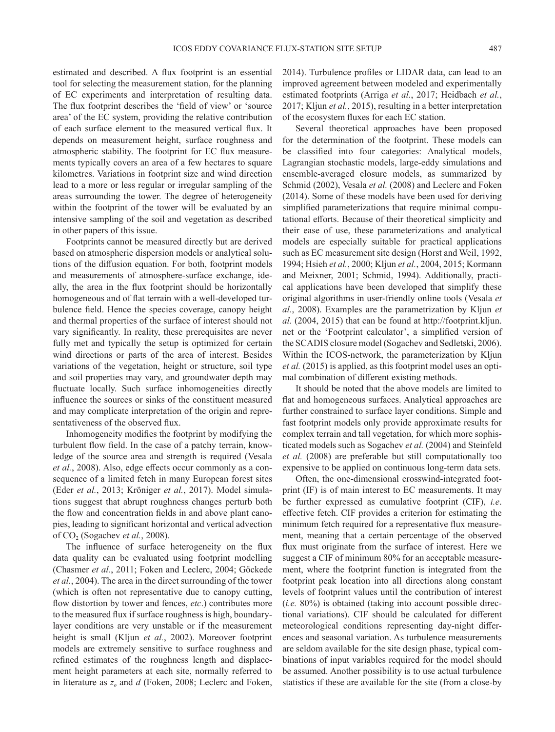estimated and described. A flux footprint is an essential tool for selecting the measurement station, for the planning of EC experiments and interpretation of resulting data. The flux footprint describes the 'field of view' or 'source area' of the EC system, providing the relative contribution of each surface element to the measured vertical flux. It depends on measurement height, surface roughness and atmospheric stability. The footprint for EC flux measurements typically covers an area of a few hectares to square kilometres. Variations in footprint size and wind direction lead to a more or less regular or irregular sampling of the areas surrounding the tower. The degree of heterogeneity within the footprint of the tower will be evaluated by an intensive sampling of the soil and vegetation as described in other papers of this issue.

Footprints cannot be measured directly but are derived based on atmospheric dispersion models or analytical solutions of the diffusion equation. For both, footprint models and measurements of atmosphere-surface exchange, ideally, the area in the flux footprint should be horizontally homogeneous and of flat terrain with a well-developed turbulence field. Hence the species coverage, canopy height and thermal properties of the surface of interest should not vary significantly. In reality, these prerequisites are never fully met and typically the setup is optimized for certain wind directions or parts of the area of interest. Besides variations of the vegetation, height or structure, soil type and soil properties may vary, and groundwater depth may fluctuate locally. Such surface inhomogeneities directly influence the sources or sinks of the constituent measured and may complicate interpretation of the origin and representativeness of the observed flux.

Inhomogeneity modifies the footprint by modifying the turbulent flow field. In the case of a patchy terrain, knowledge of the source area and strength is required (Vesala *et al.*, 2008). Also, edge effects occur commonly as a consequence of a limited fetch in many European forest sites (Eder *et al.*, 2013; Kröniger *et al.*, 2017). Model simulations suggest that abrupt roughness changes perturb both the flow and concentration fields in and above plant canopies, leading to significant horizontal and vertical advection of CO2 (Sogachev *et al.*, 2008).

The influence of surface heterogeneity on the flux data quality can be evaluated using footprint modelling (Chasmer *et al.*, 2011; Foken and Leclerc, 2004; Göckede *et al.*, 2004). The area in the direct surrounding of the tower (which is often not representative due to canopy cutting, flow distortion by tower and fences, *etc*.) contributes more to the measured flux if surface roughness is high, boundarylayer conditions are very unstable or if the measurement height is small (Kljun *et al.*, 2002). Moreover footprint models are extremely sensitive to surface roughness and refined estimates of the roughness length and displacement height parameters at each site, normally referred to in literature as *zo* and *d* (Foken, 2008; Leclerc and Foken,

2014). Turbulence profiles or LIDAR data, can lead to an improved agreement between modeled and experimentally estimated footprints (Arriga *et al.*, 2017; Heidbach *et al.*, 2017; Kljun *et al.*, 2015), resulting in a better interpretation of the ecosystem fluxes for each EC station.

Several theoretical approaches have been proposed for the determination of the footprint. These models can be classified into four categories: Analytical models, Lagrangian stochastic models, large-eddy simulations and ensemble-averaged closure models, as summarized by Schmid (2002), Vesala *et al.* (2008) and Leclerc and Foken (2014). Some of these models have been used for deriving simplified parameterizations that require minimal computational efforts. Because of their theoretical simplicity and their ease of use, these parameterizations and analytical models are especially suitable for practical applications such as EC measurement site design (Horst and Weil, 1992, 1994; Hsieh *et al.*, 2000; Kljun *et al.*, 2004, 2015; Kormann and Meixner, 2001; Schmid, 1994). Additionally, practical applications have been developed that simplify these original algorithms in user-friendly online tools (Vesala *et al.*, 2008). Examples are the parametrization by Kljun *et al.* (2004, 2015) that can be found at http://footprint.kljun. net or the 'Footprint calculator', a simplified version of the SCADIS closure model (Sogachev and Sedletski, 2006). Within the ICOS-network, the parameterization by Kljun *et al.* (2015) is applied, as this footprint model uses an optimal combination of different existing methods.

It should be noted that the above models are limited to flat and homogeneous surfaces. Analytical approaches are further constrained to surface layer conditions. Simple and fast footprint models only provide approximate results for complex terrain and tall vegetation, for which more sophisticated models such as Sogachev *et al.* (2004) and Steinfeld *et al.* (2008) are preferable but still computationally too expensive to be applied on continuous long-term data sets.

Often, the one-dimensional crosswind-integrated footprint (IF) is of main interest to EC measurements. It may be further expressed as cumulative footprint (CIF), *i.e*. effective fetch. CIF provides a criterion for estimating the minimum fetch required for a representative flux measurement, meaning that a certain percentage of the observed flux must originate from the surface of interest. Here we suggest a CIF of minimum 80% for an acceptable measurement, where the footprint function is integrated from the footprint peak location into all directions along constant levels of footprint values until the contribution of interest (*i.e.* 80%) is obtained (taking into account possible directional variations). CIF should be calculated for different meteorological conditions representing day-night differences and seasonal variation. As turbulence measurements are seldom available for the site design phase, typical combinations of input variables required for the model should be assumed. Another possibility is to use actual turbulence statistics if these are available for the site (from a close-by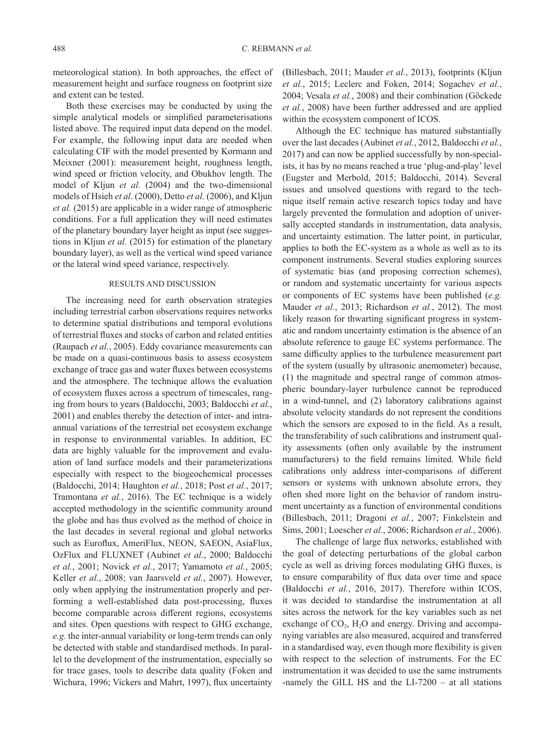meteorological station). In both approaches, the effect of measurement height and surface rougness on footprint size and extent can be tested.

Both these exercises may be conducted by using the simple analytical models or simplified parameterisations listed above. The required input data depend on the model. For example, the following input data are needed when calculating CIF with the model presented by Kormann and Meixner (2001): measurement height, roughness length, wind speed or friction velocity, and Obukhov length. The model of Kljun *et al.* (2004) and the two-dimensional models of Hsieh *et al*. (2000), Detto *et al.* (2006), and Kljun *et al.* (2015) are applicable in a wider range of atmospheric conditions. For a full application they will need estimates of the planetary boundary layer height as input (see suggestions in Kljun *et al.* (2015) for estimation of the planetary boundary layer), as well as the vertical wind speed variance or the lateral wind speed variance, respectively.

#### RESULTS AND DISCUSSION

The increasing need for earth observation strategies including terrestrial carbon observations requires networks to determine spatial distributions and temporal evolutions of terrestrial fluxes and stocks of carbon and related entities (Raupach *et al.*, 2005). Eddy covariance measurements can be made on a quasi-continuous basis to assess ecosystem exchange of trace gas and water fluxes between ecosystems and the atmosphere. The technique allows the evaluation of ecosystem fluxes across a spectrum of timescales, ranging from hours to years (Baldocchi, 2003; Baldocchi *et al.*, 2001) and enables thereby the detection of inter- and intraannual variations of the terrestrial net ecosystem exchange in response to environmental variables. In addition, EC data are highly valuable for the improvement and evaluation of land surface models and their parameterizations especially with respect to the biogeochemical processes (Baldocchi, 2014; Haughton *et al.*, 2018; Post *et al.*, 2017; Tramontana *et al.*, 2016). The EC technique is a widely accepted methodology in the scientific community around the globe and has thus evolved as the method of choice in the last decades in several regional and global networks such as Euroflux, AmeriFlux, NEON, SAEON, AsiaFlux, OzFlux and FLUXNET (Aubinet *et al.*, 2000; Baldocchi *et al.*, 2001; Novick *et al.*, 2017; Yamamoto *et al.*, 2005; Keller *et al.*, 2008; van Jaarsveld *et al.*, 2007). However, only when applying the instrumentation properly and performing a well-established data post-processing, fluxes become comparable across different regions, ecosystems and sites. Open questions with respect to GHG exchange, *e.g.* the inter-annual variability or long-term trends can only be detected with stable and standardised methods. In parallel to the development of the instrumentation, especially so for trace gases, tools to describe data quality (Foken and Wichura, 1996; Vickers and Mahrt, 1997), flux uncertainty

(Billesbach, 2011; Mauder *et al.*, 2013), footprints (Kljun *et al.*, 2015; Leclerc and Foken, 2014; Sogachev *et al.*, 2004; Vesala *et al.*, 2008) and their combination (Göckede *et al.*, 2008) have been further addressed and are applied within the ecosystem component of ICOS.

Although the EC technique has matured substantially over the last decades (Aubinet *et al.*, 2012, Baldocchi *et al.*, 2017) and can now be applied successfully by non-specialists, it has by no means reached a true 'plug-and-play' level (Eugster and Merbold, 2015; Baldocchi, 2014). Several issues and unsolved questions with regard to the technique itself remain active research topics today and have largely prevented the formulation and adoption of universally accepted standards in instrumentation, data analysis, and uncertainty estimation. The latter point, in particular, applies to both the EC-system as a whole as well as to its component instruments. Several studies exploring sources of systematic bias (and proposing correction schemes), or random and systematic uncertainty for various aspects or components of EC systems have been published (*e.g.* Mauder *et al.*, 2013; Richardson *et al.*, 2012). The most likely reason for thwarting significant progress in systematic and random uncertainty estimation is the absence of an absolute reference to gauge EC systems performance. The same difficulty applies to the turbulence measurement part of the system (usually by ultrasonic anemometer) because, (1) the magnitude and spectral range of common atmospheric boundary-layer turbulence cannot be reproduced in a wind-tunnel, and (2) laboratory calibrations against absolute velocity standards do not represent the conditions which the sensors are exposed to in the field. As a result, the transferability of such calibrations and instrument quality assessments (often only available by the instrument manufacturers) to the field remains limited. While field calibrations only address inter-comparisons of different sensors or systems with unknown absolute errors, they often shed more light on the behavior of random instrument uncertainty as a function of environmental conditions (Billesbach, 2011; Dragoni *et al.*, 2007; Finkelstein and Sims, 2001; Loescher *et al.*, 2006; Richardson *et al.*, 2006).

The challenge of large flux networks, established with the goal of detecting perturbations of the global carbon cycle as well as driving forces modulating GHG fluxes, is to ensure comparability of flux data over time and space (Baldocchi *et al.*, 2016, 2017). Therefore within ICOS, it was decided to standardise the instrumentation at all sites across the network for the key variables such as net exchange of  $CO<sub>2</sub>$ , H<sub>2</sub>O and energy. Driving and accompanying variables are also measured, acquired and transferred in a standardised way, even though more flexibility is given with respect to the selection of instruments. For the EC instrumentation it was decided to use the same instruments -namely the GILL HS and the LI-7200 – at all stations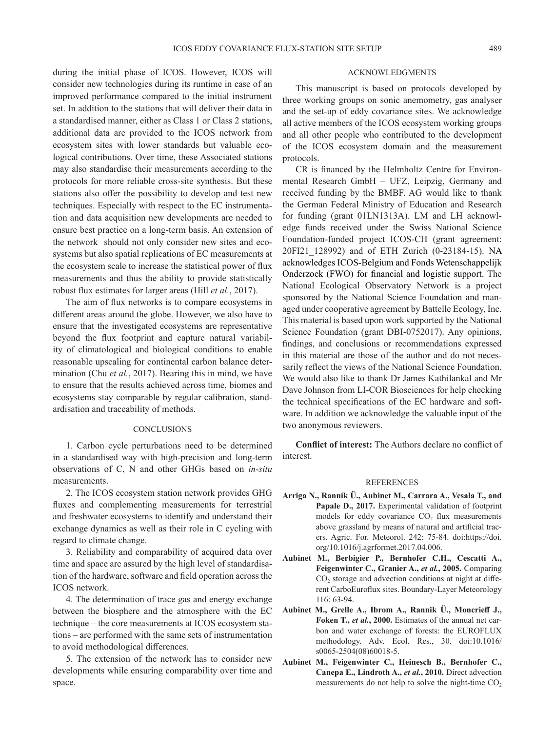during the initial phase of ICOS. However, ICOS will consider new technologies during its runtime in case of an improved performance compared to the initial instrument set. In addition to the stations that will deliver their data in a standardised manner, either as Class 1 or Class 2 stations, additional data are provided to the ICOS network from ecosystem sites with lower standards but valuable ecological contributions. Over time, these Associated stations may also standardise their measurements according to the protocols for more reliable cross-site synthesis. But these stations also offer the possibility to develop and test new techniques. Especially with respect to the EC instrumentation and data acquisition new developments are needed to ensure best practice on a long-term basis. An extension of the network should not only consider new sites and ecosystems but also spatial replications of EC measurements at the ecosystem scale to increase the statistical power of flux measurements and thus the ability to provide statistically robust flux estimates for larger areas (Hill *et al.*, 2017).

The aim of flux networks is to compare ecosystems in different areas around the globe. However, we also have to ensure that the investigated ecosystems are representative beyond the flux footprint and capture natural variability of climatological and biological conditions to enable reasonable upscaling for continental carbon balance determination (Chu *et al.*, 2017). Bearing this in mind, we have to ensure that the results achieved across time, biomes and ecosystems stay comparable by regular calibration, standardisation and traceability of methods.

#### **CONCLUSIONS**

1. Carbon cycle perturbations need to be determined in a standardised way with high-precision and long-term observations of C, N and other GHGs based on *in-situ* measurements.

2. The ICOS ecosystem station network provides GHG fluxes and complementing measurements for terrestrial and freshwater ecosystems to identify and understand their exchange dynamics as well as their role in C cycling with regard to climate change.

3. Reliability and comparability of acquired data over time and space are assured by the high level of standardisation of the hardware, software and field operation across the ICOS network.

4. The determination of trace gas and energy exchange between the biosphere and the atmosphere with the EC technique – the core measurements at ICOS ecosystem stations – are performed with the same sets of instrumentation to avoid methodological differences.

5. The extension of the network has to consider new developments while ensuring comparability over time and space.

#### ACKNOWLEDGMENTS

This manuscript is based on protocols developed by three working groups on sonic anemometry, gas analyser and the set-up of eddy covariance sites. We acknowledge all active members of the ICOS ecosystem working groups and all other people who contributed to the development of the ICOS ecosystem domain and the measurement protocols.

CR is financed by the Helmholtz Centre for Environmental Research GmbH – UFZ, Leipzig, Germany and received funding by the BMBF. AG would like to thank the German Federal Ministry of Education and Research for funding (grant 01LN1313A). LM and LH acknowledge funds received under the Swiss National Science Foundation-funded project ICOS-CH (grant agreement: 20FI21\_128992) and of ETH Zurich (0-23184-15). NA acknowledges ICOS-Belgium and Fonds Wetenschappelijk Onderzoek (FWO) for financial and logistic support. The National Ecological Observatory Network is a project sponsored by the National Science Foundation and managed under cooperative agreement by Battelle Ecology, Inc. This material is based upon work supported by the National Science Foundation (grant DBI-0752017). Any opinions, findings, and conclusions or recommendations expressed in this material are those of the author and do not necessarily reflect the views of the National Science Foundation. We would also like to thank Dr James Kathilankal and Mr Dave Johnson from LI-COR Biosciences for help checking the technical specifications of the EC hardware and software. In addition we acknowledge the valuable input of the two anonymous reviewers.

**Conflict of interest:** The Authors declare no conflict of interest.

#### REFERENCES

- **Arriga N., Rannik Ü., Aubinet M., Carrara A., Vesala T., and**  Papale D., 2017. Experimental validation of footprint models for eddy covariance  $CO<sub>2</sub>$  flux measurements above grassland by means of natural and artificial tracers. Agric. For. Meteorol. 242: 75-84. doi:https://doi. org/10.1016/j.agrformet.2017.04.006.
- **Aubinet M., Berbigier P., Bernhofer C.H., Cescatti A., Feigenwinter C., Granier A.,** *et al.***, 2005.** Comparing CO2 storage and advection conditions at night at different CarboEuroflux sites. Boundary-Layer Meteorology 116: 63-94.
- **Aubinet M., Grelle A., Ibrom A., Rannik Ü., Moncrieff J., Foken T.,** *et al.***, 2000.** Estimates of the annual net carbon and water exchange of forests: the EUROFLUX methodology. Adv. Ecol. Res., 30. doi:10.1016/ s0065-2504(08)60018-5.
- **Aubinet M., Feigenwinter C., Heinesch B., Bernhofer C., Canepa E., Lindroth A.,** *et al.***, 2010.** Direct advection measurements do not help to solve the night-time  $CO<sub>2</sub>$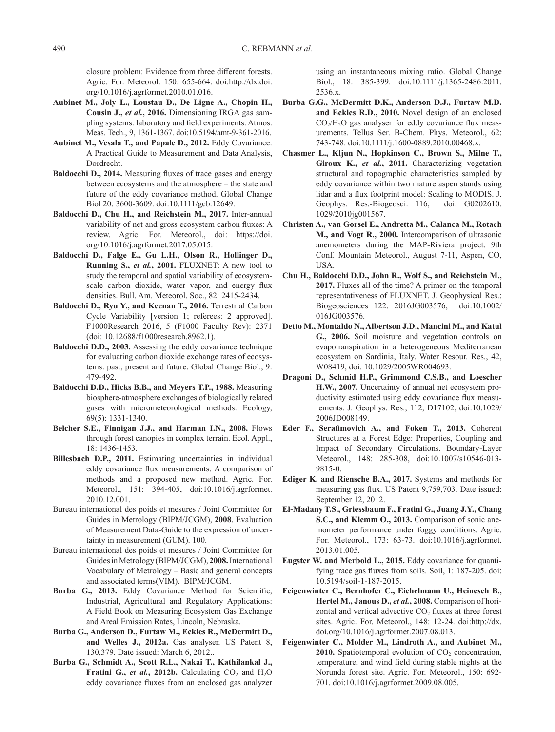closure problem: Evidence from three different forests. Agric. For. Meteorol. 150: 655-664. doi:http://dx.doi. org/10.1016/j.agrformet.2010.01.016.

- **Aubinet M., Joly L., Loustau D., De Ligne A., Chopin H., Cousin J.,** *et al.***, 2016.** Dimensioning IRGA gas sampling systems: laboratory and field experiments. Atmos. Meas. Tech., 9, 1361-1367. doi:10.5194/amt-9-361-2016.
- **Aubinet M., Vesala T., and Papale D., 2012.** Eddy Covariance: A Practical Guide to Measurement and Data Analysis, Dordrecht.
- **Baldocchi D., 2014.** Measuring fluxes of trace gases and energy between ecosystems and the atmosphere – the state and future of the eddy covariance method. Global Change Biol 20: 3600-3609. doi:10.1111/gcb.12649.
- **Baldocchi D., Chu H., and Reichstein M., 2017.** Inter-annual variability of net and gross ecosystem carbon fluxes: A review. Agric. For. Meteorol., doi: https://doi. org/10.1016/j.agrformet.2017.05.015.
- **Baldocchi D., Falge E., Gu L.H., Olson R., Hollinger D., Running S.,** *et al.***, 2001.** FLUXNET: A new tool to study the temporal and spatial variability of ecosystemscale carbon dioxide, water vapor, and energy flux densities. Bull. Am. Meteorol. Soc., 82: 2415-2434.
- **Baldocchi D., Ryu Y., and Keenan T., 2016.** Terrestrial Carbon Cycle Variability [version 1; referees: 2 approved]. F1000Research 2016, 5 (F1000 Faculty Rev): 2371 (doi: 10.12688/f1000research.8962.1).
- **Baldocchi D.D., 2003.** Assessing the eddy covariance technique for evaluating carbon dioxide exchange rates of ecosystems: past, present and future. Global Change Biol., 9: 479-492.
- **Baldocchi D.D., Hicks B.B., and Meyers T.P., 1988.** Measuring biosphere-atmosphere exchanges of biologically related gases with micrometeorological methods. Ecology, 69(5): 1331-1340.
- **Belcher S.E., Finnigan J.J., and Harman I.N., 2008.** Flows through forest canopies in complex terrain. Ecol. Appl., 18: 1436-1453.
- **Billesbach D.P., 2011.** Estimating uncertainties in individual eddy covariance flux measurements: A comparison of methods and a proposed new method. Agric. For. Meteorol., 151: 394-405, doi:10.1016/j.agrformet. 2010.12.001.
- Bureau international des poids et mesures / Joint Committee for Guides in Metrology (BIPM/JCGM), **2008**. Evaluation of Measurement Data-Guide to the expression of uncertainty in measurement (GUM). 100.
- Bureau international des poids et mesures / Joint Committee for Guides in Metrology (BIPM/JCGM), **2008.** International Vocabulary of Metrology – Basic and general concepts and associated terms(VIM). BIPM/JCGM.
- **Burba G., 2013.** Eddy Covariance Method for Scientific, Industrial, Agricultural and Regulatory Applications: A Field Book on Measuring Ecosystem Gas Exchange and Areal Emission Rates, Lincoln, Nebraska.
- **Burba G., Anderson D., Furtaw M., Eckles R., McDermitt D., and Welles J., 2012a.** Gas analyser. US Patent 8, 130,379. Date issued: March 6, 2012..
- **Burba G., Schmidt A., Scott R.L., Nakai T., Kathilankal J., Fratini G.,** *et al.***, 2012b.** Calculating  $CO_2$  and  $H_2O$ eddy covariance fluxes from an enclosed gas analyzer

using an instantaneous mixing ratio. Global Change Biol., 18: 385-399. doi:10.1111/j.1365-2486.2011. 2536.x.

- **Burba G.G., McDermitt D.K., Anderson D.J., Furtaw M.D. and Eckles R.D., 2010.** Novel design of an enclosed  $CO<sub>2</sub>/H<sub>2</sub>O$  gas analyser for eddy covariance flux measurements. Tellus Ser. B-Chem. Phys. Meteorol., 62: 743-748. doi:10.1111/j.1600-0889.2010.00468.x.
- **Chasmer L., Kljun N., Hopkinson C., Brown S., Milne T., Giroux K.,** *et al.***, 2011.** Characterizing vegetation structural and topographic characteristics sampled by eddy covariance within two mature aspen stands using lidar and a flux footprint model: Scaling to MODIS. J. Geophys. Res.-Biogeosci. 116, doi: G0202610. 1029/2010jg001567.
- **Christen A., van Gorsel E., Andretta M., Calanca M., Rotach M., and Vogt R., 2000.** Intercomparison of ultrasonic anemometers during the MAP-Riviera project. 9th Conf. Mountain Meteorol., August 7-11, Aspen, CO, USA.
- **Chu H., Baldocchi D.D., John R., Wolf S., and Reichstein M., 2017.** Fluxes all of the time? A primer on the temporal representativeness of FLUXNET. J. Geophysical Res.: Biogeosciences 122: 2016JG003576, doi:10.1002/ 016JG003576.
- **Detto M., Montaldo N., Albertson J.D., Mancini M., and Katul G., 2006.** Soil moisture and vegetation controls on evapotranspiration in a heterogeneous Mediterranean ecosystem on Sardinia, Italy. Water Resour. Res., 42, W08419, doi: 10.1029/2005WR004693.
- **Dragoni D., Schmid H.P., Grimmond C.S.B., and Loescher H.W., 2007.** Uncertainty of annual net ecosystem productivity estimated using eddy covariance flux measurements. J. Geophys. Res., 112, D17102, doi:10.1029/ 2006JD008149.
- **Eder F., Serafimovich A., and Foken T., 2013.** Coherent Structures at a Forest Edge: Properties, Coupling and Impact of Secondary Circulations. Boundary-Layer Meteorol., 148: 285-308, doi:10.1007/s10546-013- 9815-0.
- **Ediger K. and Riensche B.A., 2017.** Systems and methods for measuring gas flux. US Patent 9,759,703. Date issued: September 12, 2012.
- **El-Madany T.S., Griessbaum F., Fratini G., Juang J.Y., Chang S.C., and Klemm O., 2013.** Comparison of sonic anemometer performance under foggy conditions. Agric. For. Meteorol., 173: 63-73. doi:10.1016/j.agrformet. 2013.01.005.
- **Eugster W. and Merbold L., 2015.** Eddy covariance for quantifying trace gas fluxes from soils. Soil, 1: 187-205. doi: 10.5194/soil-1-187-2015.
- **Feigenwinter C., Bernhofer C., Eichelmann U., Heinesch B., Hertel M., Janous D.,** *et al.***, 2008.** Comparison of horizontal and vertical advective  $CO<sub>2</sub>$  fluxes at three forest sites. Agric. For. Meteorol., 148: 12-24. doi:http://dx. doi.org/10.1016/j.agrformet.2007.08.013.
- **Feigenwinter C., Molder M., Lindroth A., and Aubinet M., 2010.** Spatiotemporal evolution of  $CO<sub>2</sub>$  concentration, temperature, and wind field during stable nights at the Norunda forest site. Agric. For. Meteorol., 150: 692- 701. doi:10.1016/j.agrformet.2009.08.005.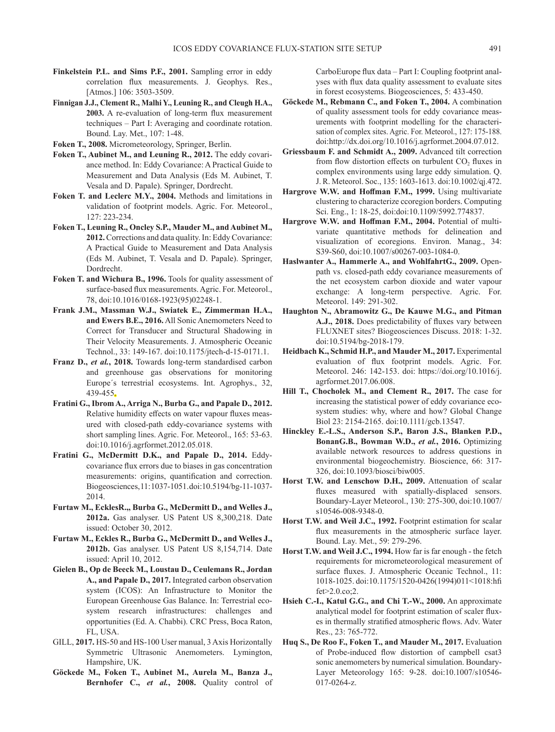- **Finkelstein P.L. and Sims P.F., 2001.** Sampling error in eddy correlation flux measurements. J. Geophys. Res., [Atmos.] 106: 3503-3509.
- **Finnigan J.J., Clement R., Malhi Y., Leuning R., and Cleugh H.A., 2003.** A re-evaluation of long-term flux measurement techniques – Part I: Averaging and coordinate rotation. Bound. Lay. Met., 107: 1-48.
- **Foken T., 2008.** Micrometeorology, Springer, Berlin.
- **Foken T., Aubinet M., and Leuning R., 2012.** The eddy covariance method. In: Eddy Covariance: A Practical Guide to Measurement and Data Analysis (Eds M. Aubinet, T. Vesala and D. Papale). Springer, Dordrecht.
- **Foken T. and Leclerc M.Y., 2004.** Methods and limitations in validation of footprint models. Agric. For. Meteorol., 127: 223-234.
- **Foken T., Leuning R., Oncley S.P., Mauder M., and Aubinet M., 2012.** Corrections and data quality. In: Eddy Covariance: A Practical Guide to Measurement and Data Analysis (Eds M. Aubinet, T. Vesala and D. Papale). Springer, Dordrecht.
- **Foken T. and Wichura B., 1996.** Tools for quality assessment of surface-based flux measurements. Agric. For. Meteorol., 78, doi:10.1016/0168-1923(95)02248-1.
- **Frank J.M., Massman W.J., Swiatek E., Zimmerman H.A., and Ewers B.E., 2016.** All Sonic Anemometers Need to Correct for Transducer and Structural Shadowing in Their Velocity Measurements. J. Atmospheric Oceanic Technol., 33: 149-167. doi:10.1175/jtech-d-15-0171.1.
- **Franz D.,** *et al.***, 2018.** Towards long-term standardised carbon and greenhouse gas observations for monitoring Europe´s terrestrial ecosystems. Int. Agrophys., 32, 439-455.
- **Fratini G., Ibrom A., Arriga N., Burba G., and Papale D., 2012.** Relative humidity effects on water vapour fluxes measured with closed-path eddy-covariance systems with short sampling lines. Agric. For. Meteorol., 165: 53-63. doi:10.1016/j.agrformet.2012.05.018.
- **Fratini G., McDermitt D.K., and Papale D., 2014.** Eddycovariance flux errors due to biases in gas concentration measurements: origins, quantification and correction. Biogeosciences, 11: 1037-1051. doi:10.5194/bg-11-1037- 2014.
- **Furtaw M., EcklesR.,, Burba G., McDermitt D., and Welles J., 2012a.** Gas analyser. US Patent US 8,300,218. Date issued: October 30, 2012.
- **Furtaw M., Eckles R., Burba G., McDermitt D., and Welles J., 2012b.** Gas analyser. US Patent US 8,154,714. Date issued: April 10, 2012.
- **Gielen B., Op de Beeck M., Loustau D., Ceulemans R., Jordan A., and Papale D., 2017.** Integrated carbon observation system (ICOS): An Infrastructure to Monitor the European Greenhouse Gas Balance. In: Terrestrial ecosystem research infrastructures: challenges and opportunities (Ed. A. Chabbi). CRC Press, Boca Raton, FL, USA.
- GILL, **2017.** HS-50 and HS-100 User manual, 3 Axis Horizontally Symmetric Ultrasonic Anemometers. Lymington, Hampshire, UK.
- **Göckede M., Foken T., Aubinet M., Aurela M., Banza J., Bernhofer C.,** *et al.***, 2008.** Quality control of

CarboEurope flux data – Part I: Coupling footprint analyses with flux data quality assessment to evaluate sites in forest ecosystems. Biogeosciences, 5: 433-450.

- **Göckede M., Rebmann C., and Foken T., 2004.** A combination of quality assessment tools for eddy covariance measurements with footprint modelling for the characterisation of complex sites. Agric. For. Meteorol., 127: 175-188. doi:http://dx.doi.org/10.1016/j.agrformet.2004.07.012.
- **Griessbaum F. and Schmidt A., 2009.** Advanced tilt correction from flow distortion effects on turbulent  $CO<sub>2</sub>$  fluxes in complex environments using large eddy simulation. Q. J. R. Meteorol. Soc., 135: 1603-1613. doi:10.1002/qj.472.
- **Hargrove W.W. and Hoffman F.M., 1999.** Using multivariate clustering to characterize ccoregion borders. Computing Sci. Eng., 1: 18-25, doi:doi:10.1109/5992.774837.
- **Hargrove W.W. and Hoffman F.M., 2004.** Potential of multivariate quantitative methods for delineation and visualization of ecoregions. Environ. Manag., 34: S39-S60, doi:10.1007/s00267-003-1084-0.
- **Haslwanter A., Hammerle A., and WohlfahrtG., 2009.** Openpath vs. closed-path eddy covariance measurements of the net ecosystem carbon dioxide and water vapour exchange: A long-term perspective. Agric. For. Meteorol. 149: 291-302.
- **Haughton N., Abramowitz G., De Kauwe M.G., and Pitman A.J., 2018.** Does predictability of fluxes vary between FLUXNET sites? Biogeosciences Discuss. 2018: 1-32. doi:10.5194/bg-2018-179.
- **Heidbach K., Schmid H.P., and Mauder M., 2017.** Experimental evaluation of flux footprint models. Agric. For. Meteorol. 246: 142-153. doi: https://doi.org/10.1016/j. agrformet.2017.06.008.
- **Hill T., Chocholek M., and Clement R., 2017.** The case for increasing the statistical power of eddy covariance ecosystem studies: why, where and how? Global Change Biol 23: 2154-2165. doi:10.1111/gcb.13547.
- **Hinckley E.-L.S., Anderson S.P., Baron J.S., Blanken P.D., BonanG.B., Bowman W.D.,** *et al.***, 2016.** Optimizing available network resources to address questions in environmental biogeochemistry. Bioscience, 66: 317- 326, doi:10.1093/biosci/biw005.
- **Horst T.W. and Lenschow D.H., 2009.** Attenuation of scalar fluxes measured with spatially-displaced sensors. Boundary-Layer Meteorol., 130: 275-300, doi:10.1007/ s10546-008-9348-0.
- **Horst T.W. and Weil J.C., 1992.** Footprint estimation for scalar flux measurements in the atmospheric surface layer. Bound. Lay. Met., 59: 279-296.
- **Horst T.W. and Weil J.C., 1994.** How far is far enough the fetch requirements for micrometeorological measurement of surface fluxes. J. Atmospheric Oceanic Technol., 11: 1018-1025. doi:10.1175/1520-0426(1994)011<1018:hfi fet>2.0.co;2.
- **Hsieh C.-I., Katul G.G., and Chi T.-W., 2000.** An approximate analytical model for footprint estimation of scaler fluxes in thermally stratified atmospheric flows. Adv. Water Res., 23: 765-772.
- **Huq S., De Roo F., Foken T., and Mauder M., 2017.** Evaluation of Probe-induced flow distortion of campbell csat3 sonic anemometers by numerical simulation. Boundary-Layer Meteorology 165: 9-28. doi:10.1007/s10546- 017-0264-z.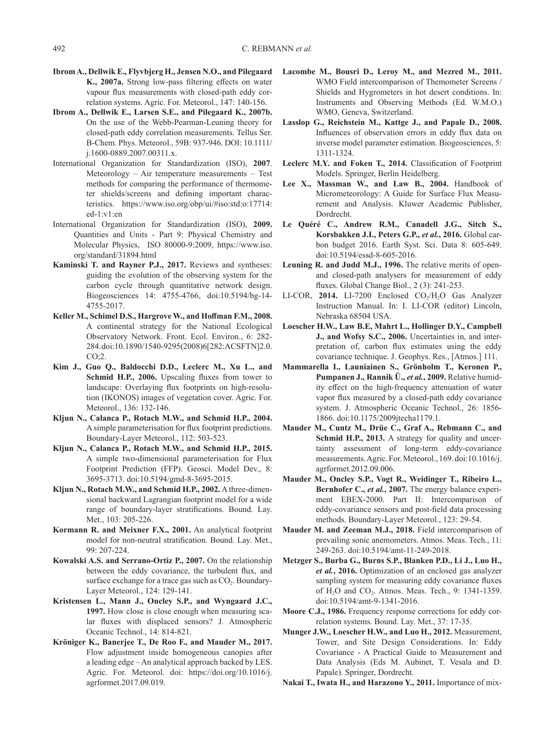- **IbromA., Dellwik E., Flyvbjerg H., Jensen N.O., and Pilegaard K., 2007a.** Strong low-pass filtering effects on water vapour flux measurements with closed-path eddy correlation systems. Agric. For. Meteorol., 147: 140-156.
- **Ibrom A., Dellwik E., Larsen S.E., and Pilegaard K., 2007b.**  On the use of the Webb-Pearman-Leuning theory for closed-path eddy correlation measurements. Tellus Ser. B-Chem. Phys. Meteorol., 59B: 937-946. DOI: 10.1111/ j.1600-0889.2007.00311.x.
- International Organization for Standardization (ISO), **2007**. Meteorology – Air temperature measurements – Test methods for comparing the performance of thermometer shields/screens and defining important characteristics. https://www.iso.org/obp/ui/#iso:std:o:17714: ed-1:v1:en
- International Organization for Standardization (ISO), **2009.** Quantities and Units - Part 9: Physical Chemistry and Molecular Physics, ISO 80000-9:2009, https://www.iso. org/standard/31894.html
- **Kaminski T. and Rayner P.J., 2017.** Reviews and syntheses: guiding the evolution of the observing system for the carbon cycle through quantitative network design. Biogeosciences 14: 4755-4766, doi:10.5194/bg-14- 4755-2017.
- **Keller M., Schimel D.S., Hargrove W., and Hoffman F.M., 2008.** A continental strategy for the National Ecological Observatory Network. Front. Ecol. Environ., 6: 282- 284. doi:10.1890/1540-9295(2008)6[282:ACSFTN]2.0. CO;2.
- **Kim J., Guo Q., Baldocchi D.D., Leclerc M., Xu L., and Schmid H.P., 2006.** Upscaling fluxes from tower to landscape: Overlaying flux footprints on high-resolution (IKONOS) images of vegetation cover. Agric. For. Meteorol., 136: 132-146.
- **Kljun N., Calanca P., Rotach M.W., and Schmid H.P., 2004.** A simple parameterisation for flux footprint predictions. Boundary-Layer Meteorol., 112: 503-523.
- **Kljun N., Calanca P., Rotach M.W., and Schmid H.P., 2015.** A simple two-dimensional parameterisation for Flux Footprint Prediction (FFP). Geosci. Model Dev., 8: 3695-3713. doi:10.5194/gmd-8-3695-2015.
- **Kljun N., Rotach M.W., and Schmid H.P., 2002.** A three-dimensional backward Lagrangian footprint model for a wide range of boundary-layer stratifications. Bound. Lay. Met., 103: 205-226.
- **Kormann R. and Meixner F.X., 2001.** An analytical footprint model for non-neutral stratification. Bound. Lay. Met., 99: 207-224.
- **Kowalski A.S. and Serrano-Ortiz P., 2007.** On the relationship between the eddy covariance, the turbulent flux, and surface exchange for a trace gas such as  $CO<sub>2</sub>$ . Boundary-Layer Meteorol., 124: 129-141.
- **Kristensen L., Mann J., Oncley S.P., and Wyngaard J.C., 1997.** How close is close enough when measuring scalar fluxes with displaced sensors? J. Atmospheric Oceanic Technol., 14: 814-821.
- **Kröniger K., Banerjee T., De Roo F., and Mauder M., 2017.** Flow adjustment inside homogeneous canopies after a leading edge – An analytical approach backed by LES. Agric. For. Meteorol. doi: https://doi.org/10.1016/j. agrformet.2017.09.019.
- **Lacombe M., Bousri D., Leroy M., and Mezred M., 2011.** WMO Field intercomparison of Themometer Screens / Shields and Hygrometers in hot desert conditions. In: Instruments and Observing Methods (Ed. W.M.O.) WMO, Geneva, Switzerland.
- **Lasslop G., Reichstein M., Kattge J., and Papale D., 2008.**  Influences of observation errors in eddy flux data on inverse model parameter estimation. Biogeosciences, 5: 1311-1324.
- **Leclerc M.Y. and Foken T., 2014.** Classification of Footprint Models. Springer, Berlin Heidelberg.
- **Lee X., Massman W., and Law B., 2004.** Handbook of Micrometeorology: A Guide for Surface Flux Measurement and Analysis. Kluwer Academic Publisher, Dordrecht.
- **Le Quéré C., Andrew R.M., Canadell J.G., Sitch S., Korsbakken J.I., Peters G.P.,** *et al.***, 2016.** Global carbon budget 2016. Earth Syst. Sci. Data 8: 605-649. doi:10.5194/essd-8-605-2016.
- **Leuning R. and Judd M.J., 1996.** The relative merits of openand closed-path analysers for measurement of eddy fluxes. Global Change Biol., 2 (3): 241-253.
- LI-COR, 2014. LI-7200 Enclosed CO<sub>2</sub>/H<sub>2</sub>O Gas Analyzer Instruction Manual. In: I. LI-COR (editor) Lincoln, Nebraska 68504 USA.
- **Loescher H.W., Law B.E, Mahrt L., Hollinger D.Y., Campbell J., and Wofsy S.C., 2006.** Uncertainties in, and interpretation of, carbon flux estimates using the eddy covariance technique. J. Geophys. Res., [Atmos.] 111.
- **Mammarella I., Launiainen S., Grönholm T., Keronen P., Pumpanen J., Rannik Ü.,** *et al.***, 2009.** Relative humidity effect on the high-frequency attenuation of water vapor flux measured by a closed-path eddy covariance system. J. Atmospheric Oceanic Technol., 26: 1856- 1866. doi:10.1175/2009jtecha1179.1.
- **Mauder M., Cuntz M., Drüe C., Graf A., Rebmann C., and Schmid H.P., 2013.** A strategy for quality and uncertainty assessment of long-term eddy-covariance measurements. Agric. For. Meteorol., 169. doi:10.1016/j. agrformet.2012.09.006.
- **Mauder M., Oncley S.P., Vogt R., Weidinger T., Ribeiro L., Bernhofer C.,** *et al.***, 2007.** The energy balance experiment EBEX-2000. Part II: Intercomparison of eddy-covariance sensors and post-field data processing methods. Boundary-Layer Meteorol., 123: 29-54.
- **Mauder M. and Zeeman M.J., 2018.** Field intercomparison of prevailing sonic anemometers. Atmos. Meas. Tech., 11: 249-263. doi:10.5194/amt-11-249-2018.
- **Metzger S., Burba G., Burns S.P., Blanken P.D., Li J., Luo H.,**  *et al.***, 2016.** Optimization of an enclosed gas analyzer sampling system for measuring eddy covariance fluxes of H<sub>2</sub>O and CO<sub>2</sub>. Atmos. Meas. Tech., 9: 1341-1359. doi:10.5194/amt-9-1341-2016.
- **Moore C.J., 1986.** Frequency response corrections for eddy correlation systems. Bound. Lay. Met., 37: 17-35.
- **Munger J.W., Loescher H.W., and Luo H., 2012.** Measurement, Tower, and Site Design Considerations. In: Eddy Covariance - A Practical Guide to Measurement and Data Analysis (Eds M. Aubinet, T. Vesala and D. Papale). Springer, Dordrecht.
- **Nakai T., Iwata H., and Harazono Y., 2011.** Importance of mix-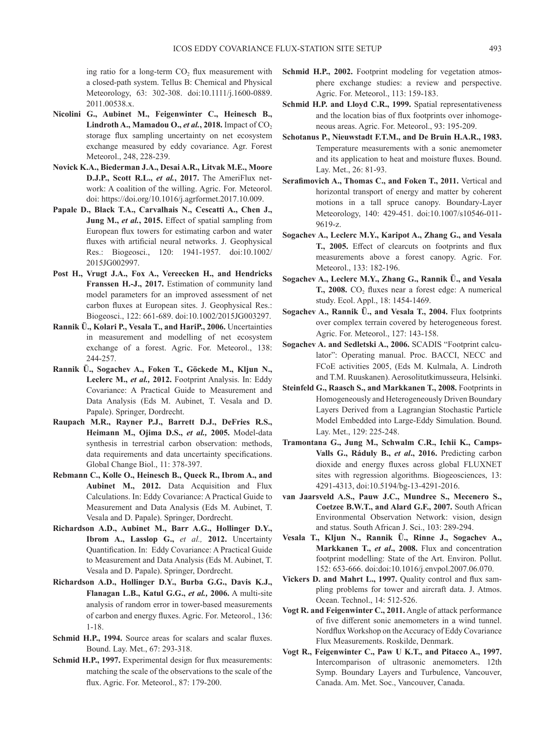ing ratio for a long-term  $CO<sub>2</sub>$  flux measurement with a closed-path system. Tellus B: Chemical and Physical Meteorology, 63: 302-308. doi:10.1111/j.1600-0889. 2011.00538.x.

- **Nicolini G., Aubinet M., Feigenwinter C., Heinesch B., Lindroth A., Mamadou O.,** *et al.***, 2018.** Impact of  $CO<sub>2</sub>$ storage flux sampling uncertainty on net ecosystem exchange measured by eddy covariance. Agr. Forest Meteorol., 248, 228-239.
- **Novick K.A., Biederman J.A., Desai A.R., Litvak M.E., Moore D.J.P., Scott R.L.,** *et al.***, 2017.** The AmeriFlux network: A coalition of the willing. Agric. For. Meteorol. doi: https://doi.org/10.1016/j.agrformet.2017.10.009.
- **Papale D., Black T.A., Carvalhais N., Cescatti A., Chen J., Jung M.,** *et al.***, 2015.** Effect of spatial sampling from European flux towers for estimating carbon and water fluxes with artificial neural networks. J. Geophysical Res.: Biogeosci., 120: 1941-1957. doi:10.1002/ 2015JG002997.
- **Post H., Vrugt J.A., Fox A., Vereecken H., and Hendricks Franssen H.-J., 2017.** Estimation of community land model parameters for an improved assessment of net carbon fluxes at European sites. J. Geophysical Res.: Biogeosci., 122: 661-689. doi:10.1002/2015JG003297.
- **Rannik Ü., Kolari P., Vesala T., and HariP., 2006.** Uncertainties in measurement and modelling of net ecosystem exchange of a forest. Agric. For. Meteorol., 138: 244-257.
- **Rannik Ü., Sogachev A., Foken T., Göckede M., Kljun N., Leclerc M.,** *et al.,* **2012.** Footprint Analysis. In: Eddy Covariance: A Practical Guide to Measurement and Data Analysis (Eds M. Aubinet, T. Vesala and D. Papale). Springer, Dordrecht.
- **Raupach M.R., Rayner P.J., Barrett D.J., DeFries R.S., Heimann M., Ojima D.S.,** *et al.,* **2005.** Model-data synthesis in terrestrial carbon observation: methods, data requirements and data uncertainty specifications. Global Change Biol., 11: 378-397.
- **Rebmann C., Kolle O., Heinesch B., Queck R., Ibrom A., and Aubinet M., 2012.** Data Acquisition and Flux Calculations. In: Eddy Covariance: A Practical Guide to Measurement and Data Analysis (Eds M. Aubinet, T. Vesala and D. Papale). Springer, Dordrecht.
- **Richardson A.D., Aubinet M., Barr A.G., Hollinger D.Y., Ibrom A., Lasslop G.,** *et al.,* **2012.** Uncertainty Quantification. In: Eddy Covariance: A Practical Guide to Measurement and Data Analysis (Eds M. Aubinet, T. Vesala and D. Papale). Springer, Dordrecht.
- **Richardson A.D., Hollinger D.Y., Burba G.G., Davis K.J., Flanagan L.B., Katul G.G.,** *et al.,* **2006.** A multi-site analysis of random error in tower-based measurements of carbon and energy fluxes. Agric. For. Meteorol., 136: 1-18.
- **Schmid H.P., 1994.** Source areas for scalars and scalar fluxes. Bound. Lay. Met., 67: 293-318.
- **Schmid H.P., 1997.** Experimental design for flux measurements: matching the scale of the observations to the scale of the flux. Agric. For. Meteorol., 87: 179-200.
- **Schmid H.P., 2002.** Footprint modeling for vegetation atmosphere exchange studies: a review and perspective. Agric. For. Meteorol., 113: 159-183.
- **Schmid H.P. and Lloyd C.R., 1999.** Spatial representativeness and the location bias of flux footprints over inhomogeneous areas. Agric. For. Meteorol., 93: 195-209.
- **Schotanus P., Nieuwstadt F.T.M., and De Bruin H.A.R., 1983.** Temperature measurements with a sonic anemometer and its application to heat and moisture fluxes. Bound. Lay. Met., 26: 81-93.
- **Serafimovich A., Thomas C., and Foken T., 2011.** Vertical and horizontal transport of energy and matter by coherent motions in a tall spruce canopy. Boundary-Layer Meteorology, 140: 429-451. doi:10.1007/s10546-011- 9619-z.
- **Sogachev A., Leclerc M.Y., Karipot A., Zhang G., and Vesala T., 2005.** Effect of clearcuts on footprints and flux measurements above a forest canopy. Agric. For. Meteorol., 133: 182-196.
- **Sogachev A., Leclerc M.Y., Zhang G., Rannik Ü., and Vesala T., 2008.**  $CO<sub>2</sub>$  fluxes near a forest edge: A numerical study. Ecol. Appl., 18: 1454-1469.
- **Sogachev A., Rannik Ü., and Vesala T., 2004.** Flux footprints over complex terrain covered by heterogeneous forest. Agric. For. Meteorol., 127: 143-158.
- **Sogachev A. and Sedletski A., 2006.** SCADIS "Footprint calculator": Operating manual. Proc. BACCI, NECC and FCoE activities 2005, (Eds M. Kulmala, A. Lindroth and T.M. Ruuskanen). Aerosolitutkimusseura, Helsinki.
- **Steinfeld G., Raasch S., and Markkanen T., 2008.** Footprints in Homogeneously and Heterogeneously Driven Boundary Layers Derived from a Lagrangian Stochastic Particle Model Embedded into Large-Eddy Simulation. Bound. Lay. Met., 129: 225-248.
- **Tramontana G., Jung M., Schwalm C.R., Ichii K., Camps-Valls G., Ráduly B.,** *et al***., 2016.** Predicting carbon dioxide and energy fluxes across global FLUXNET sites with regression algorithms. Biogeosciences, 13: 4291-4313, doi:10.5194/bg-13-4291-2016.
- **van Jaarsveld A.S., Pauw J.C., Mundree S., Mecenero S., Coetzee B.W.T., and Alard G.F., 2007.** South African Environmental Observation Network: vision, design and status. South African J. Sci., 103: 289-294.
- **Vesala T., Kljun N., Rannik Ü., Rinne J., Sogachev A., Markkanen T.,** *et al***., 2008.** Flux and concentration footprint modelling: State of the Art. Environ. Pollut. 152: 653-666. doi:doi:10.1016/j.envpol.2007.06.070.
- **Vickers D. and Mahrt L., 1997.** Quality control and flux sampling problems for tower and aircraft data. J. Atmos. Ocean. Technol., 14: 512-526.
- **Vogt R. and Feigenwinter C., 2011.** Angle of attack performance of five different sonic anemometers in a wind tunnel. Nordflux Workshop on the Accuracy of Eddy Covariance Flux Measurements. Roskilde, Denmark.
- **Vogt R., Feigenwinter C., Paw U K.T., and Pitacco A., 1997.** Intercomparison of ultrasonic anemometers. 12th Symp. Boundary Layers and Turbulence, Vancouver, Canada. Am. Met. Soc., Vancouver, Canada.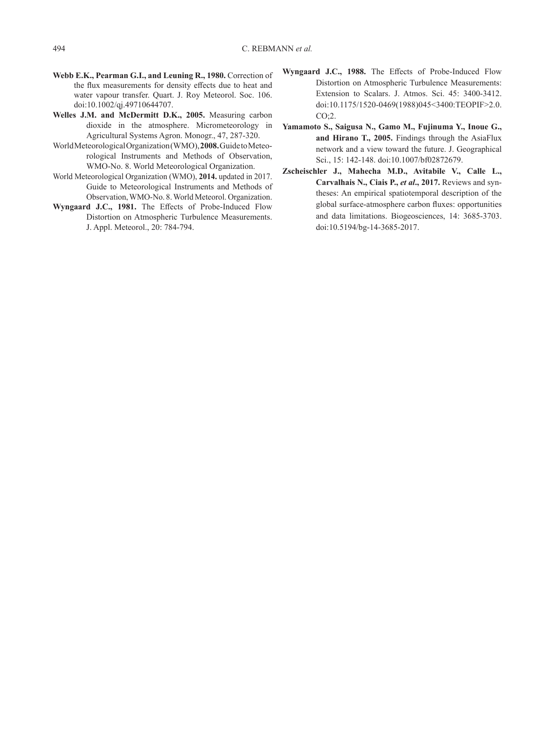- **Webb E.K., Pearman G.I., and Leuning R., 1980.** Correction of the flux measurements for density effects due to heat and water vapour transfer. Quart. J. Roy Meteorol. Soc. 106. doi:10.1002/qj.49710644707.
- **Welles J.M. and McDermitt D.K., 2005.** Measuring carbon dioxide in the atmosphere. Micrometeorology in Agricultural Systems Agron. Monogr., 47, 287-320.
- World Meteorological Organization (WMO), **2008.** Guide to Meteorological Instruments and Methods of Observation, WMO-No. 8. World Meteorological Organization.
- World Meteorological Organization (WMO), **2014.** updated in 2017. Guide to Meteorological Instruments and Methods of Observation, WMO-No. 8. World Meteorol. Organization.
- **Wyngaard J.C., 1981.** The Effects of Probe-Induced Flow Distortion on Atmospheric Turbulence Measurements. J. Appl. Meteorol., 20: 784-794.
- **Wyngaard J.C., 1988.** The Effects of Probe-Induced Flow Distortion on Atmospheric Turbulence Measurements: Extension to Scalars. J. Atmos. Sci. 45: 3400-3412. doi:10.1175/1520-0469(1988)045<3400:TEOPIF>2.0. CO;2.
- **Yamamoto S., Saigusa N., Gamo M., Fujinuma Y., Inoue G., and Hirano T., 2005.** Findings through the AsiaFlux network and a view toward the future. J. Geographical Sci., 15: 142-148. doi:10.1007/bf02872679.
- **Zscheischler J., Mahecha M.D., Avitabile V., Calle L., Carvalhais N., Ciais P.,** *et al***., 2017.** Reviews and syntheses: An empirical spatiotemporal description of the global surface-atmosphere carbon fluxes: opportunities and data limitations. Biogeosciences, 14: 3685-3703. doi:10.5194/bg-14-3685-2017.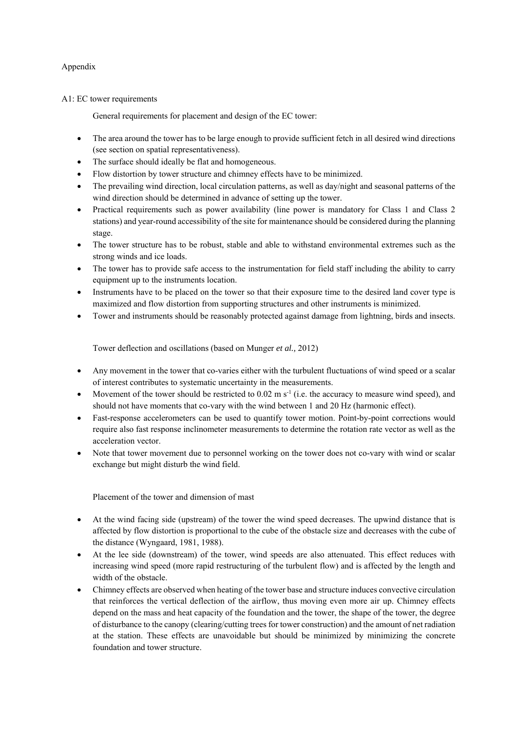# Appendix

# A1: EC tower requirements

General requirements for placement and design of the EC tower:

- The area around the tower has to be large enough to provide sufficient fetch in all desired wind directions (see section on spatial representativeness).
- The surface should ideally be flat and homogeneous.
- Flow distortion by tower structure and chimney effects have to be minimized.
- The prevailing wind direction, local circulation patterns, as well as day/night and seasonal patterns of the wind direction should be determined in advance of setting up the tower.
- Practical requirements such as power availability (line power is mandatory for Class 1 and Class 2 stations) and year-round accessibility of the site for maintenance should be considered during the planning stage.
- The tower structure has to be robust, stable and able to withstand environmental extremes such as the strong winds and ice loads.
- The tower has to provide safe access to the instrumentation for field staff including the ability to carry equipment up to the instruments location.
- Instruments have to be placed on the tower so that their exposure time to the desired land cover type is maximized and flow distortion from supporting structures and other instruments is minimized.
- Tower and instruments should be reasonably protected against damage from lightning, birds and insects.

Tower deflection and oscillations (based on Munger *et al.,* 2012)

- Any movement in the tower that co-varies either with the turbulent fluctuations of wind speed or a scalar of interest contributes to systematic uncertainty in the measurements.
- Movement of the tower should be restricted to 0.02 m  $s^{-1}$  (i.e. the accuracy to measure wind speed), and should not have moments that co-vary with the wind between 1 and 20 Hz (harmonic effect).
- Fast-response accelerometers can be used to quantify tower motion. Point-by-point corrections would require also fast response inclinometer measurements to determine the rotation rate vector as well as the acceleration vector.
- Note that tower movement due to personnel working on the tower does not co-vary with wind or scalar exchange but might disturb the wind field.

Placement of the tower and dimension of mast

- At the wind facing side (upstream) of the tower the wind speed decreases. The upwind distance that is affected by flow distortion is proportional to the cube of the obstacle size and decreases with the cube of the distance (Wyngaard, 1981, 1988).
- At the lee side (downstream) of the tower, wind speeds are also attenuated. This effect reduces with increasing wind speed (more rapid restructuring of the turbulent flow) and is affected by the length and width of the obstacle.
- Chimney effects are observed when heating of the tower base and structure induces convective circulation that reinforces the vertical deflection of the airflow, thus moving even more air up. Chimney effects depend on the mass and heat capacity of the foundation and the tower, the shape of the tower, the degree of disturbance to the canopy (clearing/cutting trees for tower construction) and the amount of net radiation at the station. These effects are unavoidable but should be minimized by minimizing the concrete foundation and tower structure.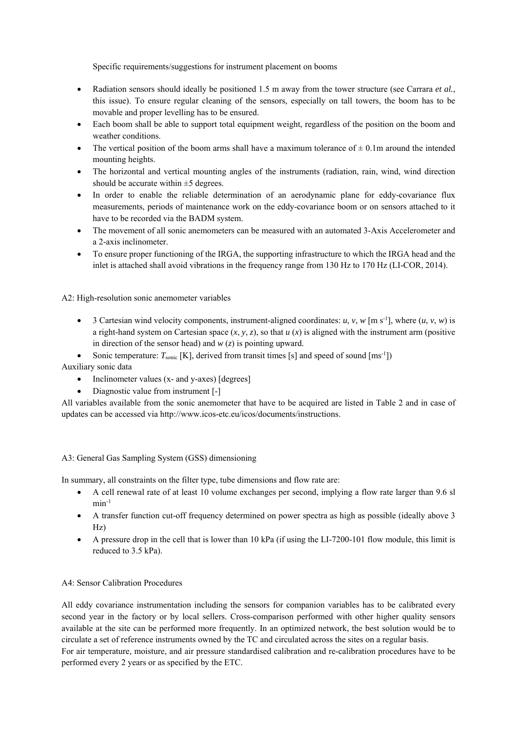Specific requirements/suggestions for instrument placement on booms

- Radiation sensors should ideally be positioned 1.5 m away from the tower structure (see Carrara *et al.*, this issue). To ensure regular cleaning of the sensors, especially on tall towers, the boom has to be movable and proper levelling has to be ensured.
- Each boom shall be able to support total equipment weight, regardless of the position on the boom and weather conditions.
- The vertical position of the boom arms shall have a maximum tolerance of  $\pm$  0.1m around the intended mounting heights.
- The horizontal and vertical mounting angles of the instruments (radiation, rain, wind, wind direction should be accurate within  $\pm$ 5 degrees.
- In order to enable the reliable determination of an aerodynamic plane for eddy-covariance flux measurements, periods of maintenance work on the eddy-covariance boom or on sensors attached to it have to be recorded via the BADM system.
- The movement of all sonic anemometers can be measured with an automated 3-Axis Accelerometer and a 2-axis inclinometer.
- To ensure proper functioning of the IRGA, the supporting infrastructure to which the IRGA head and the inlet is attached shall avoid vibrations in the frequency range from 130 Hz to 170 Hz (LI-COR, 2014).

A2: High-resolution sonic anemometer variables

- $\bullet$  3 Cartesian wind velocity components, instrument-aligned coordinates: *u*, *v*, *w* [m s<sup>-1</sup>], where  $(u, v, w)$  is a right-hand system on Cartesian space  $(x, y, z)$ , so that  $u(x)$  is aligned with the instrument arm (positive in direction of the sensor head) and *w* (*z*) is pointing upward.
- Sonic temperature:  $T_{\text{sonic}}$  [K], derived from transit times [s] and speed of sound  ${\text{[ms-1]}}$ )

Auxiliary sonic data

- Inclinometer values (x- and y-axes) [degrees]
- Diagnostic value from instrument [-]

All variables available from the sonic anemometer that have to be acquired are listed in Table 2 and in case of updates can be accessed via http://www.icos-etc.eu/icos/documents/instructions.

# A3: General Gas Sampling System (GSS) dimensioning

In summary, all constraints on the filter type, tube dimensions and flow rate are:

- A cell renewal rate of at least 10 volume exchanges per second, implying a flow rate larger than 9.6 sl  $min^{-1}$
- A transfer function cut-off frequency determined on power spectra as high as possible (ideally above 3 Hz)
- A pressure drop in the cell that is lower than 10 kPa (if using the LI-7200-101 flow module, this limit is reduced to 3.5 kPa).

# A4: Sensor Calibration Procedures

All eddy covariance instrumentation including the sensors for companion variables has to be calibrated every second year in the factory or by local sellers. Cross-comparison performed with other higher quality sensors available at the site can be performed more frequently. In an optimized network, the best solution would be to circulate a set of reference instruments owned by the TC and circulated across the sites on a regular basis. For air temperature, moisture, and air pressure standardised calibration and re-calibration procedures have to be performed every 2 years or as specified by the ETC.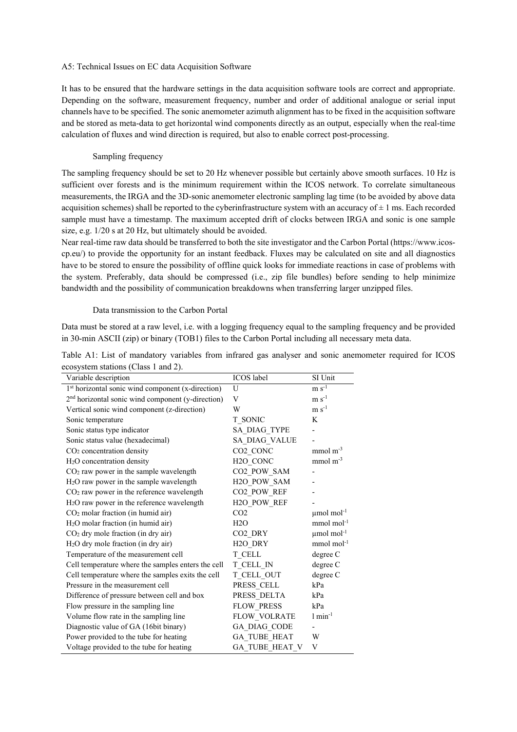## A5: Technical Issues on EC data Acquisition Software

It has to be ensured that the hardware settings in the data acquisition software tools are correct and appropriate. Depending on the software, measurement frequency, number and order of additional analogue or serial input channels have to be specified. The sonic anemometer azimuth alignment has to be fixed in the acquisition software and be stored as meta-data to get horizontal wind components directly as an output, especially when the real-time calculation of fluxes and wind direction is required, but also to enable correct post-processing.

# Sampling frequency

The sampling frequency should be set to 20 Hz whenever possible but certainly above smooth surfaces. 10 Hz is sufficient over forests and is the minimum requirement within the ICOS network. To correlate simultaneous measurements, the IRGA and the 3D-sonic anemometer electronic sampling lag time (to be avoided by above data acquisition schemes) shall be reported to the cyberinfrastructure system with an accuracy of  $\pm 1$  ms. Each recorded sample must have a timestamp. The maximum accepted drift of clocks between IRGA and sonic is one sample size, e.g. 1/20 s at 20 Hz, but ultimately should be avoided.

Near real-time raw data should be transferred to both the site investigator and the Carbon Portal (https://www.icoscp.eu/) to provide the opportunity for an instant feedback. Fluxes may be calculated on site and all diagnostics have to be stored to ensure the possibility of offline quick looks for immediate reactions in case of problems with the system. Preferably, data should be compressed (i.e., zip file bundles) before sending to help minimize bandwidth and the possibility of communication breakdowns when transferring larger unzipped files.

# Data transmission to the Carbon Portal

Data must be stored at a raw level, i.e. with a logging frequency equal to the sampling frequency and be provided in 30-min ASCII (zip) or binary (TOB1) files to the Carbon Portal including all necessary meta data.

| Table A1: List of mandatory variables from infrared gas analyser and sonic anemometer required for ICOS |  |  |  |  |  |  |
|---------------------------------------------------------------------------------------------------------|--|--|--|--|--|--|
| ecosystem stations (Class 1 and 2).                                                                     |  |  |  |  |  |  |

| Variable description                                          | ICOS label              | SI Unit                      |
|---------------------------------------------------------------|-------------------------|------------------------------|
| 1st horizontal sonic wind component (x-direction)             | U                       | $m s^{-1}$                   |
| 2 <sup>nd</sup> horizontal sonic wind component (y-direction) | V                       | $m s^{-1}$                   |
| Vertical sonic wind component (z-direction)                   | W                       | $\rm m~s^{\text{-}1}$        |
| Sonic temperature                                             | T SONIC                 | K                            |
| Sonic status type indicator                                   | SA DIAG_TYPE            | -                            |
| Sonic status value (hexadecimal)                              | SA DIAG VALUE           |                              |
| CO <sub>2</sub> concentration density                         | CO <sub>2</sub> CONC    | $mmol m-3$                   |
| H <sub>2</sub> O concentration density                        | H <sub>2</sub> O CONC   | $mmol m-3$                   |
| CO <sub>2</sub> raw power in the sample wavelength            | CO2 POW SAM             | $\qquad \qquad \blacksquare$ |
| H <sub>2</sub> O raw power in the sample wavelength           | H <sub>2O_POW_SAM</sub> |                              |
| CO <sub>2</sub> raw power in the reference wavelength         | CO2_POW_REF             |                              |
| H <sub>2</sub> O raw power in the reference wavelength        | H2O POW REF             |                              |
| CO <sub>2</sub> molar fraction (in humid air)                 | CO <sub>2</sub>         | $\mu$ mol mol <sup>-1</sup>  |
| H <sub>2</sub> O molar fraction (in humid air)                | H2O                     | $mmol$ mol <sup>-1</sup>     |
| CO <sub>2</sub> dry mole fraction (in dry air)                | CO <sub>2</sub> DRY     | $\mu$ mol mol <sup>-1</sup>  |
| H <sub>2</sub> O dry mole fraction (in dry air)               | H <sub>2</sub> O DRY    | $mmol$ mol <sup>-1</sup>     |
| Temperature of the measurement cell                           | T CELL                  | degree C                     |
| Cell temperature where the samples enters the cell            | T CELL IN               | degree C                     |
| Cell temperature where the samples exits the cell             | T_CELL_OUT              | degree C                     |
| Pressure in the measurement cell                              | PRESS CELL              | kPa                          |
| Difference of pressure between cell and box                   | PRESS DELTA             | kPa                          |
| Flow pressure in the sampling line                            | <b>FLOW PRESS</b>       | kPa                          |
| Volume flow rate in the sampling line                         | <b>FLOW VOLRATE</b>     | $1 min-1$                    |
| Diagnostic value of GA (16bit binary)                         | GA DIAG CODE            |                              |
| Power provided to the tube for heating                        | <b>GA TUBE HEAT</b>     | W                            |
| Voltage provided to the tube for heating                      | GA TUBE HEAT V          | V                            |